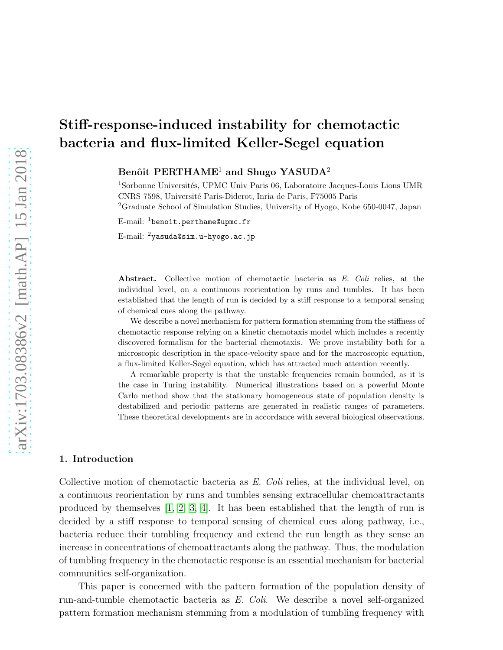# Stiff-response-induced instability for chemotactic bacteria and flux-limited Keller-Segel equation

Benôit PERTHAME<sup>1</sup> and Shugo YASUDA<sup>2</sup>

 $1$ Sorbonne Universités, UPMC Univ Paris 06, Laboratoire Jacques-Louis Lions UMR CNRS 7598, Universit´e Paris-Diderot, Inria de Paris, F75005 Paris <sup>2</sup>Graduate School of Simulation Studies, University of Hyogo, Kobe 650-0047, Japan

E-mail: <sup>1</sup>benoit.perthame@upmc.fr

E-mail: <sup>2</sup>yasuda@sim.u-hyogo.ac.jp

Abstract. Collective motion of chemotactic bacteria as E. Coli relies, at the individual level, on a continuous reorientation by runs and tumbles. It has been established that the length of run is decided by a stiff response to a temporal sensing of chemical cues along the pathway.

We describe a novel mechanism for pattern formation stemming from the stiffness of chemotactic response relying on a kinetic chemotaxis model which includes a recently discovered formalism for the bacterial chemotaxis. We prove instability both for a microscopic description in the space-velocity space and for the macroscopic equation, a flux-limited Keller-Segel equation, which has attracted much attention recently.

A remarkable property is that the unstable frequencies remain bounded, as it is the case in Turing instability. Numerical illustrations based on a powerful Monte Carlo method show that the stationary homogeneous state of population density is destabilized and periodic patterns are generated in realistic ranges of parameters. These theoretical developments are in accordance with several biological observations.

#### 1. Introduction

Collective motion of chemotactic bacteria as E. Coli relies, at the individual level, on a continuous reorientation by runs and tumbles sensing extracellular chemoattractants produced by themselves  $[1, 2, 3, 4]$  $[1, 2, 3, 4]$  $[1, 2, 3, 4]$  $[1, 2, 3, 4]$ . It has been established that the length of run is decided by a stiff response to temporal sensing of chemical cues along pathway, i.e., bacteria reduce their tumbling frequency and extend the run length as they sense an increase in concentrations of chemoattractants along the pathway. Thus, the modulation of tumbling frequency in the chemotactic response is an essential mechanism for bacterial communities self-organization.

This paper is concerned with the pattern formation of the population density of run-and-tumble chemotactic bacteria as E. Coli. We describe a novel self-organized pattern formation mechanism stemming from a modulation of tumbling frequency with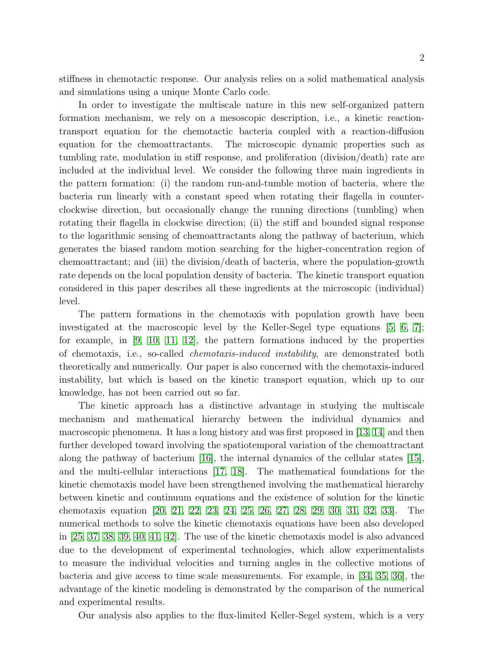stiffness in chemotactic response. Our analysis relies on a solid mathematical analysis and simulations using a unique Monte Carlo code.

In order to investigate the multiscale nature in this new self-organized pattern formation mechanism, we rely on a mesoscopic description, i.e., a kinetic reactiontransport equation for the chemotactic bacteria coupled with a reaction-diffusion equation for the chemoattractants. The microscopic dynamic properties such as tumbling rate, modulation in stiff response, and proliferation (division/death) rate are included at the individual level. We consider the following three main ingredients in the pattern formation: (i) the random run-and-tumble motion of bacteria, where the bacteria run linearly with a constant speed when rotating their flagella in counterclockwise direction, but occasionally change the running directions (tumbling) when rotating their flagella in clockwise direction; (ii) the stiff and bounded signal response to the logarithmic sensing of chemoattractants along the pathway of bacterium, which generates the biased random motion searching for the higher-concentration region of chemoattractant; and (iii) the division/death of bacteria, where the population-growth rate depends on the local population density of bacteria. The kinetic transport equation considered in this paper describes all these ingredients at the microscopic (individual) level.

The pattern formations in the chemotaxis with population growth have been investigated at the macroscopic level by the Keller-Segel type equations [\[5,](#page-19-2) [6,](#page-19-3) [7\]](#page-19-4); for example, in [\[9,](#page-19-5) [10,](#page-19-6) [11,](#page-19-7) [12\]](#page-19-8), the pattern formations induced by the properties of chemotaxis, i.e., so-called chemotaxis-induced instability, are demonstrated both theoretically and numerically. Our paper is also concerned with the chemotaxis-induced instability, but which is based on the kinetic transport equation, which up to our knowledge, has not been carried out so far.

The kinetic approach has a distinctive advantage in studying the multiscale mechanism and mathematical hierarchy between the individual dynamics and macroscopic phenomena. It has a long history and was first proposed in [\[13,](#page-19-9) [14\]](#page-19-10) and then further developed toward involving the spatiotemporal variation of the chemoattractant along the pathway of bacterium [\[16\]](#page-19-11), the internal dynamics of the cellular states [\[15\]](#page-19-12), and the multi-cellular interactions [\[17,](#page-19-13) [18\]](#page-19-14). The mathematical foundations for the kinetic chemotaxis model have been strengthened involving the mathematical hierarchy between kinetic and continuum equations and the existence of solution for the kinetic chemotaxis equation [\[20,](#page-19-15) [21,](#page-19-16) [22,](#page-19-17) [23,](#page-19-18) [24,](#page-19-19) [25,](#page-19-20) [26,](#page-19-21) [27,](#page-19-22) [28,](#page-20-0) [29,](#page-20-1) [30,](#page-20-2) [31,](#page-20-3) [32,](#page-20-4) [33\]](#page-20-5). The numerical methods to solve the kinetic chemotaxis equations have been also developed in [\[25,](#page-19-20) [37,](#page-20-6) [38,](#page-20-7) [39,](#page-20-8) [40,](#page-20-9) [41,](#page-20-10) [42\]](#page-20-11). The use of the kinetic chemotaxis model is also advanced due to the development of experimental technologies, which allow experimentalists to measure the individual velocities and turning angles in the collective motions of bacteria and give access to time scale measurements. For example, in [\[34,](#page-20-12) [35,](#page-20-13) [36\]](#page-20-14), the advantage of the kinetic modeling is demonstrated by the comparison of the numerical and experimental results.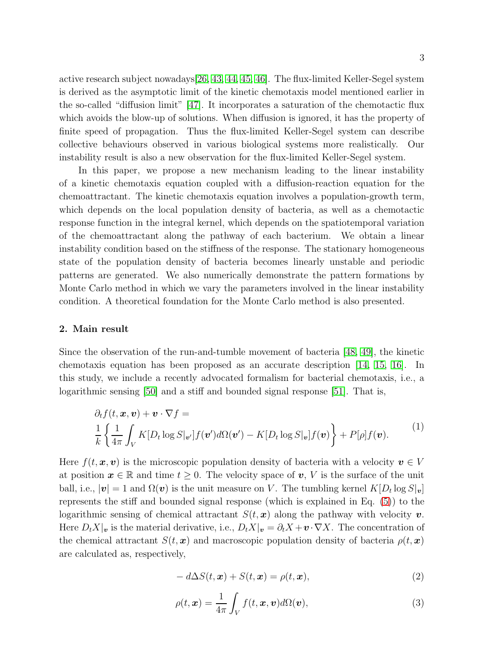active research subject nowadays[\[26,](#page-19-21) [43,](#page-20-15) [44,](#page-20-16) [45,](#page-20-17) [46\]](#page-20-18). The flux-limited Keller-Segel system is derived as the asymptotic limit of the kinetic chemotaxis model mentioned earlier in the so-called "diffusion limit" [\[47\]](#page-20-19). It incorporates a saturation of the chemotactic flux which avoids the blow-up of solutions. When diffusion is ignored, it has the property of finite speed of propagation. Thus the flux-limited Keller-Segel system can describe collective behaviours observed in various biological systems more realistically. Our instability result is also a new observation for the flux-limited Keller-Segel system.

In this paper, we propose a new mechanism leading to the linear instability of a kinetic chemotaxis equation coupled with a diffusion-reaction equation for the chemoattractant. The kinetic chemotaxis equation involves a population-growth term, which depends on the local population density of bacteria, as well as a chemotactic response function in the integral kernel, which depends on the spatiotemporal variation of the chemoattractant along the pathway of each bacterium. We obtain a linear instability condition based on the stiffness of the response. The stationary homogeneous state of the population density of bacteria becomes linearly unstable and periodic patterns are generated. We also numerically demonstrate the pattern formations by Monte Carlo method in which we vary the parameters involved in the linear instability condition. A theoretical foundation for the Monte Carlo method is also presented.

## 2. Main result

Since the observation of the run-and-tumble movement of bacteria [\[48,](#page-20-20) [49\]](#page-20-21), the kinetic chemotaxis equation has been proposed as an accurate description [\[14,](#page-19-10) [15,](#page-19-12) [16\]](#page-19-11). In this study, we include a recently advocated formalism for bacterial chemotaxis, i.e., a logarithmic sensing [\[50\]](#page-20-22) and a stiff and bounded signal response [\[51\]](#page-20-23). That is,

<span id="page-2-0"></span>
$$
\partial_t f(t, \mathbf{x}, \mathbf{v}) + \mathbf{v} \cdot \nabla f =
$$
\n
$$
\frac{1}{k} \left\{ \frac{1}{4\pi} \int_V K[D_t \log S|_{\mathbf{v}'}] f(\mathbf{v}') d\Omega(\mathbf{v}') - K[D_t \log S|_{\mathbf{v}}] f(\mathbf{v}) \right\} + P[\rho] f(\mathbf{v}).
$$
\n(1)

Here  $f(t, x, v)$  is the microscopic population density of bacteria with a velocity  $v \in V$ at position  $x \in \mathbb{R}$  and time  $t \geq 0$ . The velocity space of v, V is the surface of the unit ball, i.e.,  $|\mathbf{v}| = 1$  and  $\Omega(\mathbf{v})$  is the unit measure on V. The tumbling kernel  $K[D_t \log S_{|\mathbf{v}}]$ represents the stiff and bounded signal response (which is explained in Eq. [\(5\)](#page-3-0)) to the logarithmic sensing of chemical attractant  $S(t, x)$  along the pathway with velocity v. Here  $D_t X|_v$  is the material derivative, i.e.,  $D_t X|_v = \partial_t X + v \cdot \nabla X$ . The concentration of the chemical attractant  $S(t, x)$  and macroscopic population density of bacteria  $\rho(t, x)$ are calculated as, respectively,

<span id="page-2-1"></span>
$$
- d\Delta S(t, \mathbf{x}) + S(t, \mathbf{x}) = \rho(t, \mathbf{x}), \qquad (2)
$$

<span id="page-2-2"></span>
$$
\rho(t, \mathbf{x}) = \frac{1}{4\pi} \int_{V} f(t, \mathbf{x}, \mathbf{v}) d\Omega(\mathbf{v}), \tag{3}
$$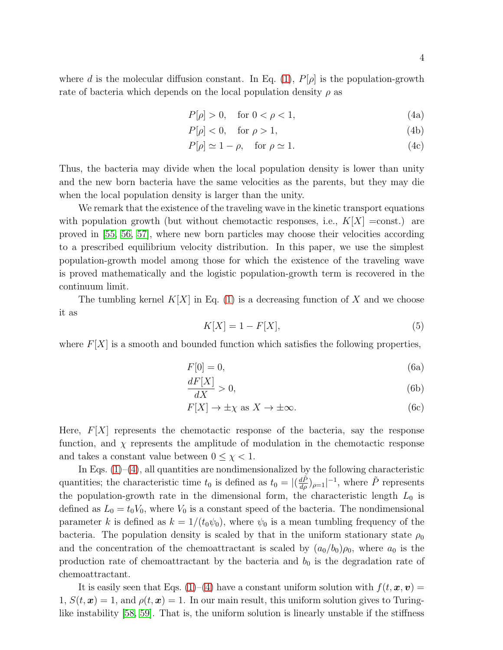<span id="page-3-1"></span>
$$
P[\rho] > 0, \quad \text{for } 0 < \rho < 1,\tag{4a}
$$

$$
P[\rho] < 0, \quad \text{for } \rho > 1,\tag{4b}
$$

$$
P[\rho] \simeq 1 - \rho, \quad \text{for } \rho \simeq 1. \tag{4c}
$$

Thus, the bacteria may divide when the local population density is lower than unity and the new born bacteria have the same velocities as the parents, but they may die when the local population density is larger than the unity.

We remark that the existence of the traveling wave in the kinetic transport equations with population growth (but without chemotactic responses, i.e.,  $K[X] = \text{const.}$ ) are proved in [\[55,](#page-21-0) [56,](#page-21-1) [57\]](#page-21-2), where new born particles may choose their velocities according to a prescribed equilibrium velocity distribution. In this paper, we use the simplest population-growth model among those for which the existence of the traveling wave is proved mathematically and the logistic population-growth term is recovered in the continuum limit.

The tumbling kernel  $K[X]$  in Eq. [\(1\)](#page-2-0) is a decreasing function of X and we choose it as

<span id="page-3-2"></span><span id="page-3-0"></span>
$$
K[X] = 1 - F[X],\tag{5}
$$

where  $F[X]$  is a smooth and bounded function which satisfies the following properties,

$$
F[0] = 0,\t\t(6a)
$$

$$
\frac{dF[X]}{dX} > 0,\t\t(6b)
$$

$$
F[X] \to \pm \chi \text{ as } X \to \pm \infty. \tag{6c}
$$

Here,  $F[X]$  represents the chemotactic response of the bacteria, say the response function, and  $\chi$  represents the amplitude of modulation in the chemotactic response and takes a constant value between  $0 \leq \chi < 1$ .

In Eqs.  $(1)$ – $(4)$ , all quantities are nondimensionalized by the following characteristic quantities; the characteristic time  $t_0$  is defined as  $t_0 = |(\frac{d\tilde{P}}{d\rho})_{\rho=1}|^{-1}$ , where  $\tilde{P}$  represents the population-growth rate in the dimensional form, the characteristic length  $L_0$  is defined as  $L_0 = t_0 V_0$ , where  $V_0$  is a constant speed of the bacteria. The nondimensional parameter k is defined as  $k = 1/(t_0\psi_0)$ , where  $\psi_0$  is a mean tumbling frequency of the bacteria. The population density is scaled by that in the uniform stationary state  $\rho_0$ and the concentration of the chemoattractant is scaled by  $(a_0/b_0)\rho_0$ , where  $a_0$  is the production rate of chemoattractant by the bacteria and  $b_0$  is the degradation rate of chemoattractant.

It is easily seen that Eqs. [\(1\)](#page-2-0)–[\(4\)](#page-3-1) have a constant uniform solution with  $f(t, x, v) =$  $1, S(t, x) = 1$ , and  $\rho(t, x) = 1$ . In our main result, this uniform solution gives to Turinglike instability [\[58,](#page-21-3) [59\]](#page-21-4). That is, the uniform solution is linearly unstable if the stiffness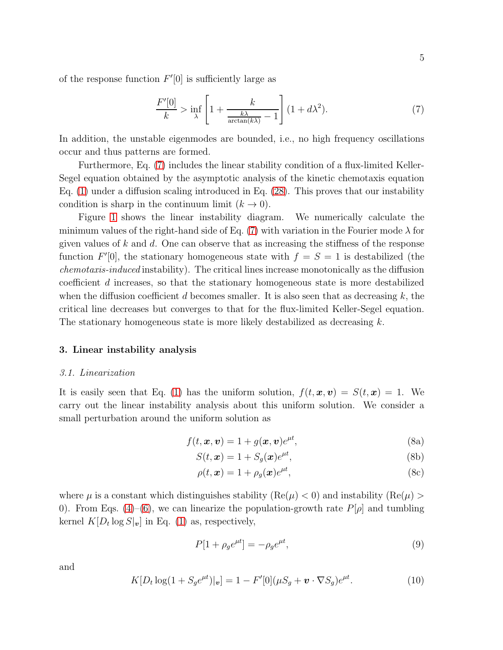of the response function  $F'[0]$  is sufficiently large as

<span id="page-4-0"></span>
$$
\frac{F'[0]}{k} > \inf_{\lambda} \left[ 1 + \frac{k}{\frac{k\lambda}{\arctan(k\lambda)} - 1} \right] (1 + d\lambda^2). \tag{7}
$$

In addition, the unstable eigenmodes are bounded, i.e., no high frequency oscillations occur and thus patterns are formed.

Furthermore, Eq. [\(7\)](#page-4-0) includes the linear stability condition of a flux-limited Keller-Segel equation obtained by the asymptotic analysis of the kinetic chemotaxis equation Eq. [\(1\)](#page-2-0) under a diffusion scaling introduced in Eq. [\(28\)](#page-8-0). This proves that our instability condition is sharp in the continuum limit  $(k \to 0)$ .

Figure [1](#page-22-0) shows the linear instability diagram. We numerically calculate the minimum values of the right-hand side of Eq. [\(7\)](#page-4-0) with variation in the Fourier mode  $\lambda$  for given values of  $k$  and  $d$ . One can observe that as increasing the stiffness of the response function  $F'[0]$ , the stationary homogeneous state with  $f = S = 1$  is destabilized (the chemotaxis-induced instability). The critical lines increase monotonically as the diffusion coefficient d increases, so that the stationary homogeneous state is more destabilized when the diffusion coefficient d becomes smaller. It is also seen that as decreasing  $k$ , the critical line decreases but converges to that for the flux-limited Keller-Segel equation. The stationary homogeneous state is more likely destabilized as decreasing  $k$ .

#### 3. Linear instability analysis

#### 3.1. Linearization

It is easily seen that Eq. [\(1\)](#page-2-0) has the uniform solution,  $f(t, x, v) = S(t, x) = 1$ . We carry out the linear instability analysis about this uniform solution. We consider a small perturbation around the uniform solution as

$$
f(t, \boldsymbol{x}, \boldsymbol{v}) = 1 + g(\boldsymbol{x}, \boldsymbol{v})e^{\mu t},
$$
\n(8a)

$$
S(t, \mathbf{x}) = 1 + S_g(\mathbf{x})e^{\mu t}, \tag{8b}
$$

$$
\rho(t, \mathbf{x}) = 1 + \rho_g(\mathbf{x})e^{\mu t}, \tag{8c}
$$

where  $\mu$  is a constant which distinguishes stability (Re( $\mu$ ) < 0) and instability (Re( $\mu$ ) > 0). From Eqs. [\(4\)](#page-3-1)–[\(6\)](#page-3-2), we can linearize the population-growth rate  $P[\rho]$  and tumbling kernel  $K[D_t \log S|_v]$  in Eq. [\(1\)](#page-2-0) as, respectively,

$$
P[1 + \rho_g e^{\mu t}] = -\rho_g e^{\mu t},\tag{9}
$$

and

$$
K[D_t \log(1 + S_g e^{\mu t})|_{\mathbf{v}}] = 1 - F'[0](\mu S_g + \mathbf{v} \cdot \nabla S_g)e^{\mu t}.
$$
 (10)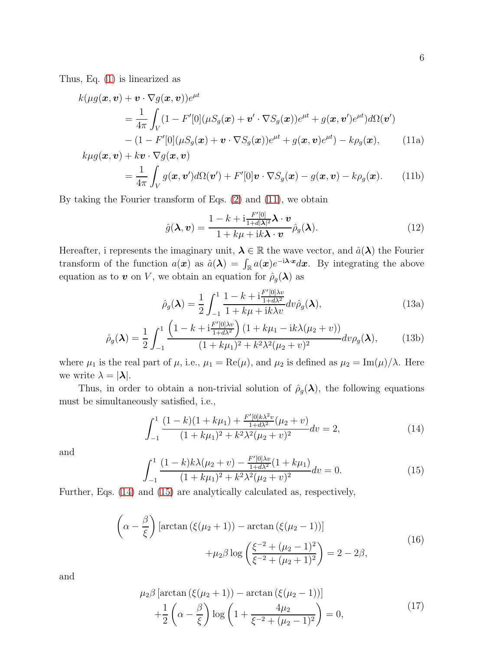Thus, Eq. [\(1\)](#page-2-0) is linearized as

<span id="page-5-0"></span>
$$
k(\mu g(\boldsymbol{x}, \boldsymbol{v}) + \boldsymbol{v} \cdot \nabla g(\boldsymbol{x}, \boldsymbol{v}))e^{\mu t}
$$
  
= 
$$
\frac{1}{4\pi} \int_{V} (1 - F'[0](\mu S_g(\boldsymbol{x}) + \boldsymbol{v}' \cdot \nabla S_g(\boldsymbol{x}))e^{\mu t} + g(\boldsymbol{x}, \boldsymbol{v}')e^{\mu t})d\Omega(\boldsymbol{v}')
$$

$$
- (1 - F'[0](\mu S_g(\boldsymbol{x}) + \boldsymbol{v} \cdot \nabla S_g(\boldsymbol{x}))e^{\mu t} + g(\boldsymbol{x}, \boldsymbol{v})e^{\mu t}) - k\rho_g(\boldsymbol{x}), \qquad (11a)
$$

$$
k\mu g(\boldsymbol{x}, \boldsymbol{v}) + k\boldsymbol{v} \cdot \nabla g(\boldsymbol{x}, \boldsymbol{v})
$$
  
= 
$$
\frac{1}{4\pi} \int_{V} g(\boldsymbol{x}, \boldsymbol{v}') d\Omega(\boldsymbol{v}') + F'[0] \boldsymbol{v} \cdot \nabla S_g(\boldsymbol{x}) - g(\boldsymbol{x}, \boldsymbol{v}) - k\rho_g(\boldsymbol{x}).
$$
 (11b)

By taking the Fourier transform of Eqs. [\(2\)](#page-2-1) and [\(11\)](#page-5-0), we obtain

$$
\hat{g}(\boldsymbol{\lambda}, \boldsymbol{v}) = \frac{1 - k + i \frac{F'[0]}{1 + d|\boldsymbol{\lambda}|^2} \boldsymbol{\lambda} \cdot \boldsymbol{v}}{1 + k\mu + ik\boldsymbol{\lambda} \cdot \boldsymbol{v}} \hat{\rho}_g(\boldsymbol{\lambda}).
$$
\n(12)

Hereafter, i represents the imaginary unit,  $\lambda \in \mathbb{R}$  the wave vector, and  $\hat{a}(\lambda)$  the Fourier transform of the function  $a(\bm{x})$  as  $\hat{a}(\bm{\lambda}) = \int_{\mathbb{R}} a(\bm{x})e^{-i\bm{\lambda} \cdot \bm{x}} d\bm{x}$ . By integrating the above equation as to v on V, we obtain an equation for  $\hat{\rho}_g(\boldsymbol{\lambda})$  as

$$
\hat{\rho}_g(\lambda) = \frac{1}{2} \int_{-1}^1 \frac{1 - k + i \frac{F'[0]\lambda v}{1 + d\lambda^2}}{1 + k\mu + i k\lambda v} dv \hat{\rho}_g(\lambda),
$$
\n(13a)

$$
\hat{\rho}_g(\lambda) = \frac{1}{2} \int_{-1}^1 \frac{\left(1 - k + i \frac{F'[0]\lambda v}{1 + d\lambda^2}\right) (1 + k\mu_1 - ik\lambda(\mu_2 + v))}{(1 + k\mu_1)^2 + k^2\lambda^2(\mu_2 + v)^2} dv \rho_g(\lambda),\tag{13b}
$$

where  $\mu_1$  is the real part of  $\mu$ , i.e.,  $\mu_1 = \text{Re}(\mu)$ , and  $\mu_2$  is defined as  $\mu_2 = \text{Im}(\mu)/\lambda$ . Here we write  $\lambda = |\lambda|$ .

Thus, in order to obtain a non-trivial solution of  $\hat{\rho}_g(\lambda)$ , the following equations must be simultaneously satisfied, i.e.,

<span id="page-5-1"></span>
$$
\int_{-1}^{1} \frac{(1-k)(1+k\mu_1) + \frac{F'[0]k\lambda^2 v}{1+d\lambda^2}(\mu_2 + v)}{(1+k\mu_1)^2 + k^2\lambda^2(\mu_2 + v)^2} dv = 2,
$$
\n(14)

and

<span id="page-5-2"></span>
$$
\int_{-1}^{1} \frac{(1-k)k\lambda(\mu_2 + v) - \frac{F'[0]\lambda v}{1+d\lambda^2}(1+k\mu_1)}{(1+k\mu_1)^2 + k^2\lambda^2(\mu_2 + v)^2} dv = 0.
$$
 (15)

Further, Eqs. [\(14\)](#page-5-1) and [\(15\)](#page-5-2) are analytically calculated as, respectively,

$$
\left(\alpha - \frac{\beta}{\xi}\right) \left[\arctan\left(\xi(\mu_2 + 1)\right) - \arctan\left(\xi(\mu_2 - 1)\right)\right] + \mu_2 \beta \log\left(\frac{\xi^{-2} + (\mu_2 - 1)^2}{\xi^{-2} + (\mu_2 + 1)^2}\right) = 2 - 2\beta,
$$
\n(16)

<span id="page-5-4"></span><span id="page-5-3"></span>and

$$
\mu_2 \beta \left[ \arctan \left( \xi (\mu_2 + 1) \right) - \arctan \left( \xi (\mu_2 - 1) \right) \right] \n+ \frac{1}{2} \left( \alpha - \frac{\beta}{\xi} \right) \log \left( 1 + \frac{4\mu_2}{\xi^{-2} + (\mu_2 - 1)^2} \right) = 0,
$$
\n(17)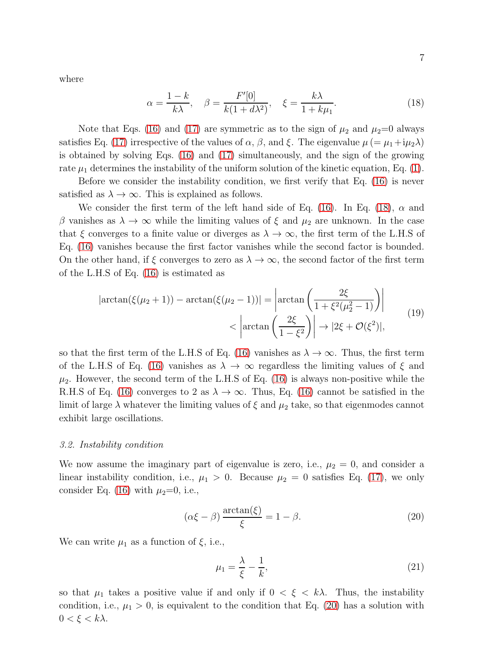where

<span id="page-6-0"></span>
$$
\alpha = \frac{1-k}{k\lambda}, \quad \beta = \frac{F'[0]}{k(1+d\lambda^2)}, \quad \xi = \frac{k\lambda}{1+k\mu_1}.\tag{18}
$$

Note that Eqs. [\(16\)](#page-5-3) and [\(17\)](#page-5-4) are symmetric as to the sign of  $\mu_2$  and  $\mu_2=0$  always satisfies Eq. [\(17\)](#page-5-4) irrespective of the values of  $\alpha$ ,  $\beta$ , and  $\xi$ . The eigenvalue  $\mu$  (=  $\mu_1+i\mu_2\lambda$ ) is obtained by solving Eqs. [\(16\)](#page-5-3) and [\(17\)](#page-5-4) simultaneously, and the sign of the growing rate  $\mu_1$  determines the instability of the uniform solution of the kinetic equation, Eq. [\(1\)](#page-2-0).

Before we consider the instability condition, we first verify that Eq. [\(16\)](#page-5-3) is never satisfied as  $\lambda \to \infty$ . This is explained as follows.

We consider the first term of the left hand side of Eq. [\(16\)](#page-5-3). In Eq. [\(18\)](#page-6-0),  $\alpha$  and β vanishes as  $\lambda \to \infty$  while the limiting values of ξ and  $\mu_2$  are unknown. In the case that  $\xi$  converges to a finite value or diverges as  $\lambda \to \infty$ , the first term of the L.H.S of Eq. [\(16\)](#page-5-3) vanishes because the first factor vanishes while the second factor is bounded. On the other hand, if  $\xi$  converges to zero as  $\lambda \to \infty$ , the second factor of the first term of the L.H.S of Eq. [\(16\)](#page-5-3) is estimated as

$$
|\arctan(\xi(\mu_2+1)) - \arctan(\xi(\mu_2-1))| = \left|\arctan\left(\frac{2\xi}{1+\xi^2(\mu_2^2-1)}\right)\right|
$$
  

$$
< \left|\arctan\left(\frac{2\xi}{1-\xi^2}\right)\right| \to |2\xi + \mathcal{O}(\xi^2)|,
$$
 (19)

so that the first term of the L.H.S of Eq. [\(16\)](#page-5-3) vanishes as  $\lambda \to \infty$ . Thus, the first term of the L.H.S of Eq. [\(16\)](#page-5-3) vanishes as  $\lambda \to \infty$  regardless the limiting values of  $\xi$  and  $\mu_2$ . However, the second term of the L.H.S of Eq. [\(16\)](#page-5-3) is always non-positive while the R.H.S of Eq. [\(16\)](#page-5-3) converges to 2 as  $\lambda \to \infty$ . Thus, Eq. (16) cannot be satisfied in the limit of large  $\lambda$  whatever the limiting values of  $\xi$  and  $\mu_2$  take, so that eigenmodes cannot exhibit large oscillations.

#### 3.2. Instability condition

We now assume the imaginary part of eigenvalue is zero, i.e.,  $\mu_2 = 0$ , and consider a linear instability condition, i.e.,  $\mu_1 > 0$ . Because  $\mu_2 = 0$  satisfies Eq. [\(17\)](#page-5-4), we only consider Eq. [\(16\)](#page-5-3) with  $\mu_2=0$ , i.e.,

<span id="page-6-1"></span>
$$
(\alpha \xi - \beta) \frac{\arctan(\xi)}{\xi} = 1 - \beta. \tag{20}
$$

We can write  $\mu_1$  as a function of  $\xi$ , i.e.,

$$
\mu_1 = \frac{\lambda}{\xi} - \frac{1}{k},\tag{21}
$$

so that  $\mu_1$  takes a positive value if and only if  $0 < \xi < k\lambda$ . Thus, the instability condition, i.e.,  $\mu_1 > 0$ , is equivalent to the condition that Eq. [\(20\)](#page-6-1) has a solution with  $0 < \xi < k\lambda$ .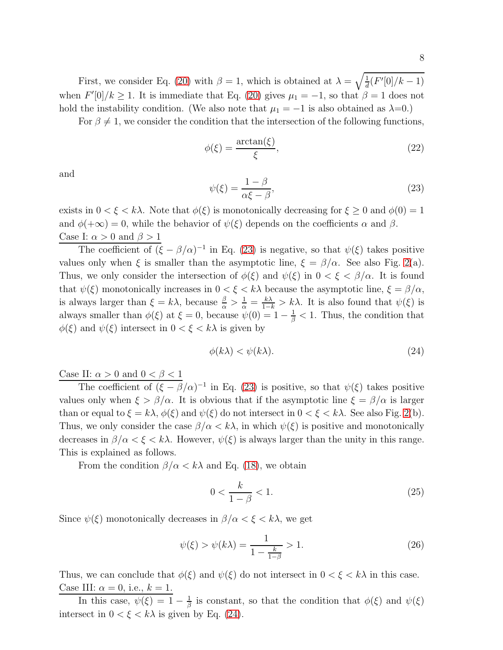First, we consider Eq. [\(20\)](#page-6-1) with  $\beta = 1$ , which is obtained at  $\lambda = \sqrt{\frac{1}{d}}$  $\frac{1}{d}(F'[0]/k-1)$ when  $F'[0]/k \ge 1$ . It is immediate that Eq. [\(20\)](#page-6-1) gives  $\mu_1 = -1$ , so that  $\beta = 1$  does not hold the instability condition. (We also note that  $\mu_1 = -1$  is also obtained as  $\lambda = 0$ .)

For  $\beta \neq 1$ , we consider the condition that the intersection of the following functions,

<span id="page-7-2"></span>
$$
\phi(\xi) = \frac{\arctan(\xi)}{\xi},\tag{22}
$$

and

<span id="page-7-0"></span>
$$
\psi(\xi) = \frac{1 - \beta}{\alpha \xi - \beta},\tag{23}
$$

exists in  $0 < \xi < k\lambda$ . Note that  $\phi(\xi)$  is monotonically decreasing for  $\xi \ge 0$  and  $\phi(0) = 1$ and  $\phi(+\infty) = 0$ , while the behavior of  $\psi(\xi)$  depends on the coefficients  $\alpha$  and  $\beta$ . Case I:  $\alpha > 0$  and  $\beta > 1$ 

The coefficient of  $(\xi - \beta/\alpha)^{-1}$  in Eq. [\(23\)](#page-7-0) is negative, so that  $\psi(\xi)$  takes positive values only when  $\xi$  is smaller than the asymptotic line,  $\xi = \beta/\alpha$ . See also Fig. [2\(](#page-22-1)a). Thus, we only consider the intersection of  $\phi(\xi)$  and  $\psi(\xi)$  in  $0 < \xi < \beta/\alpha$ . It is found that  $\psi(\xi)$  monotonically increases in  $0 < \xi < k\lambda$  because the asymptotic line,  $\xi = \beta/\alpha$ , is always larger than  $\xi = k\lambda$ , because  $\frac{\beta}{\alpha} > \frac{1}{\alpha} = \frac{k\lambda}{1-k} > k\lambda$ . It is also found that  $\psi(\xi)$  is always smaller than  $\phi(\xi)$  at  $\xi = 0$ , because  $\psi(0) = 1 - \frac{1}{\beta} < 1$ . Thus, the condition that  $\phi(\xi)$  and  $\psi(\xi)$  intersect in  $0 < \xi < k\lambda$  is given by

<span id="page-7-1"></span>
$$
\phi(k\lambda) < \psi(k\lambda). \tag{24}
$$

Case II:  $\alpha > 0$  and  $0 < \beta < 1$ 

The coefficient of  $(\xi - \beta/\alpha)^{-1}$  in Eq. [\(23\)](#page-7-0) is positive, so that  $\psi(\xi)$  takes positive values only when  $\xi > \beta/\alpha$ . It is obvious that if the asymptotic line  $\xi = \beta/\alpha$  is larger than or equal to  $\xi = k\lambda$ ,  $\phi(\xi)$  and  $\psi(\xi)$  do not intersect in  $0 < \xi < k\lambda$ . See also Fig. [2\(](#page-22-1)b). Thus, we only consider the case  $\beta/\alpha < k\lambda$ , in which  $\psi(\xi)$  is positive and monotonically decreases in  $\beta/\alpha < \xi < k\lambda$ . However,  $\psi(\xi)$  is always larger than the unity in this range. This is explained as follows.

From the condition  $\beta/\alpha < k\lambda$  and Eq. [\(18\)](#page-6-0), we obtain

$$
0 < \frac{k}{1 - \beta} < 1. \tag{25}
$$

Since  $\psi(\xi)$  monotonically decreases in  $\beta/\alpha < \xi < k\lambda$ , we get

$$
\psi(\xi) > \psi(k\lambda) = \frac{1}{1 - \frac{k}{1 - \beta}} > 1.
$$
\n(26)

Thus, we can conclude that  $\phi(\xi)$  and  $\psi(\xi)$  do not intersect in  $0 < \xi < k\lambda$  in this case. Case III:  $\alpha = 0$ , i.e.,  $k = 1$ .

In this case,  $\psi(\xi) = 1 - \frac{1}{\beta}$  $\frac{1}{\beta}$  is constant, so that the condition that  $\phi(\xi)$  and  $\psi(\xi)$ intersect in  $0 < \xi < k\lambda$  is given by Eq. [\(24\)](#page-7-1).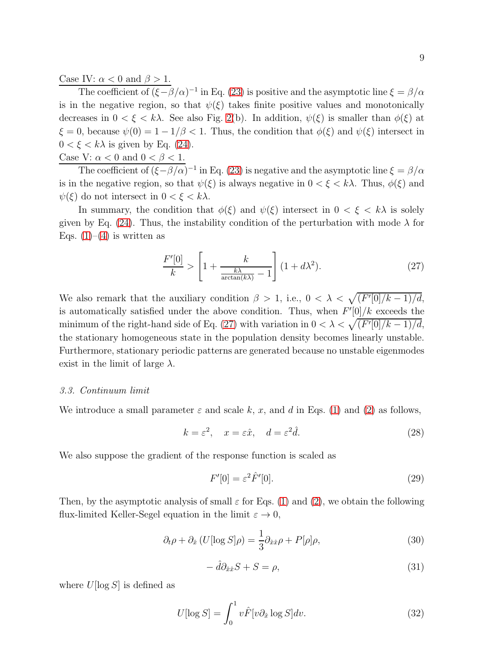Case IV:  $\alpha < 0$  and  $\beta > 1$ .

The coefficient of  $(\xi - \beta/\alpha)^{-1}$  in Eq. [\(23\)](#page-7-0) is positive and the asymptotic line  $\xi = \beta/\alpha$ is in the negative region, so that  $\psi(\xi)$  takes finite positive values and monotonically decreases in  $0 < \xi < k\lambda$ . See also Fig. [2\(](#page-22-1)b). In addition,  $\psi(\xi)$  is smaller than  $\phi(\xi)$  at  $\xi = 0$ , because  $\psi(0) = 1 - 1/\beta < 1$ . Thus, the condition that  $\phi(\xi)$  and  $\psi(\xi)$  intersect in  $0 < \xi < k\lambda$  is given by Eq. [\(24\)](#page-7-1).

Case V:  $\alpha < 0$  and  $0 < \beta < 1$ .

The coefficient of  $(\xi - \beta/\alpha)^{-1}$  in Eq. [\(23\)](#page-7-0) is negative and the asymptotic line  $\xi = \beta/\alpha$ is in the negative region, so that  $\psi(\xi)$  is always negative in  $0 < \xi < k\lambda$ . Thus,  $\phi(\xi)$  and  $\psi(\xi)$  do not intersect in  $0 < \xi < k\lambda$ .

In summary, the condition that  $\phi(\xi)$  and  $\psi(\xi)$  intersect in  $0 < \xi < k\lambda$  is solely given by Eq. [\(24\)](#page-7-1). Thus, the instability condition of the perturbation with mode  $\lambda$  for Eqs.  $(1)$ – $(4)$  is written as

<span id="page-8-1"></span>
$$
\frac{F'[0]}{k} > \left[1 + \frac{k}{\frac{k\lambda}{\arctan(k\lambda)} - 1}\right](1 + d\lambda^2). \tag{27}
$$

We also remark that the auxiliary condition  $\beta > 1$ , i.e.,  $0 < \lambda < \sqrt{(F'[0]/k-1)/d}$ , is automatically satisfied under the above condition. Thus, when  $F'[0]/k$  exceeds the minimum of the right-hand side of Eq. [\(27\)](#page-8-1) with variation in  $0 < \lambda < \sqrt{(F'[0]/k - 1)/d}$ , the stationary homogeneous state in the population density becomes linearly unstable. Furthermore, stationary periodic patterns are generated because no unstable eigenmodes exist in the limit of large  $\lambda$ .

#### 3.3. Continuum limit

We introduce a small parameter  $\varepsilon$  and scale k, x, and d in Eqs. [\(1\)](#page-2-0) and [\(2\)](#page-2-1) as follows,

$$
k = \varepsilon^2, \quad x = \varepsilon \hat{x}, \quad d = \varepsilon^2 \hat{d}.\tag{28}
$$

We also suppose the gradient of the response function is scaled as

<span id="page-8-0"></span>
$$
F'[0] = \varepsilon^2 \hat{F}'[0].\tag{29}
$$

Then, by the asymptotic analysis of small  $\varepsilon$  for Eqs. [\(1\)](#page-2-0) and [\(2\)](#page-2-1), we obtain the following flux-limited Keller-Segel equation in the limit  $\varepsilon \to 0$ ,

<span id="page-8-2"></span>
$$
\partial_t \rho + \partial_{\hat{x}} \left( U[\log S] \rho \right) = \frac{1}{3} \partial_{\hat{x}\hat{x}} \rho + P[\rho] \rho, \tag{30}
$$

$$
-\hat{d}\partial_{\hat{x}\hat{x}}S + S = \rho,\tag{31}
$$

where  $U[\log S]$  is defined as

<span id="page-8-3"></span>
$$
U[\log S] = \int_0^1 v \hat{F}[v\partial_{\hat{x}} \log S] dv.
$$
 (32)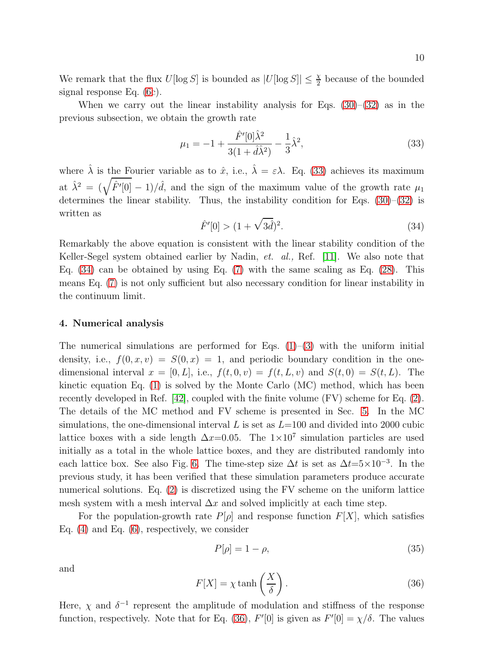We remark that the flux  $U[\log S]$  is bounded as  $|U[\log S]| \leq \frac{\chi}{2}$  because of the bounded signal response Eq. [\(6c](#page-3-2)).

When we carry out the linear instability analysis for Eqs.  $(30)$ – $(32)$  as in the previous subsection, we obtain the growth rate

<span id="page-9-0"></span>
$$
\mu_1 = -1 + \frac{\hat{F}'[0]\hat{\lambda}^2}{3(1+\hat{d}\hat{\lambda}^2)} - \frac{1}{3}\hat{\lambda}^2,
$$
\n(33)

where  $\hat{\lambda}$  is the Fourier variable as to  $\hat{x}$ , i.e.,  $\hat{\lambda} = \varepsilon \lambda$ . Eq. [\(33\)](#page-9-0) achieves its maximum at  $\hat{\lambda}^2 = (\sqrt{\hat{F}'[0]} - 1)/\hat{d}$ , and the sign of the maximum value of the growth rate  $\mu_1$ determines the linear stability. Thus, the instability condition for Eqs.  $(30)$ – $(32)$  is written as

<span id="page-9-1"></span>
$$
\hat{F}'[0] > (1 + \sqrt{3\hat{d}})^2. \tag{34}
$$

Remarkably the above equation is consistent with the linear stability condition of the Keller-Segel system obtained earlier by Nadin, et. al., Ref. [\[11\]](#page-19-7). We also note that Eq. [\(34\)](#page-9-1) can be obtained by using Eq. [\(7\)](#page-4-0) with the same scaling as Eq. [\(28\)](#page-8-0). This means Eq. [\(7\)](#page-4-0) is not only sufficient but also necessary condition for linear instability in the continuum limit.

#### 4. Numerical analysis

The numerical simulations are performed for Eqs.  $(1)$ – $(3)$  with the uniform initial density, i.e.,  $f(0, x, v) = S(0, x) = 1$ , and periodic boundary condition in the onedimensional interval  $x = [0, L]$ , i.e.,  $f(t, 0, v) = f(t, L, v)$  and  $S(t, 0) = S(t, L)$ . The kinetic equation Eq. [\(1\)](#page-2-0) is solved by the Monte Carlo (MC) method, which has been recently developed in Ref. [\[42\]](#page-20-11), coupled with the finite volume (FV) scheme for Eq. [\(2\)](#page-2-1). The details of the MC method and FV scheme is presented in Sec. [5.](#page-11-0) In the MC simulations, the one-dimensional interval L is set as  $L=100$  and divided into 2000 cubic lattice boxes with a side length  $\Delta x=0.05$ . The  $1\times10^7$  simulation particles are used initially as a total in the whole lattice boxes, and they are distributed randomly into each lattice box. See also Fig. [6.](#page-24-0) The time-step size  $\Delta t$  is set as  $\Delta t = 5 \times 10^{-3}$ . In the previous study, it has been verified that these simulation parameters produce accurate numerical solutions. Eq. [\(2\)](#page-2-1) is discretized using the FV scheme on the uniform lattice mesh system with a mesh interval  $\Delta x$  and solved implicitly at each time step.

For the population-growth rate  $P[\rho]$  and response function  $F[X]$ , which satisfies Eq. [\(4\)](#page-3-1) and Eq. [\(6\)](#page-3-2), respectively, we consider

<span id="page-9-3"></span>
$$
P[\rho] = 1 - \rho,\tag{35}
$$

and

<span id="page-9-2"></span>
$$
F[X] = \chi \tanh\left(\frac{X}{\delta}\right). \tag{36}
$$

Here,  $\chi$  and  $\delta^{-1}$  represent the amplitude of modulation and stiffness of the response function, respectively. Note that for Eq. [\(36\)](#page-9-2),  $F'[0]$  is given as  $F'[0] = \chi/\delta$ . The values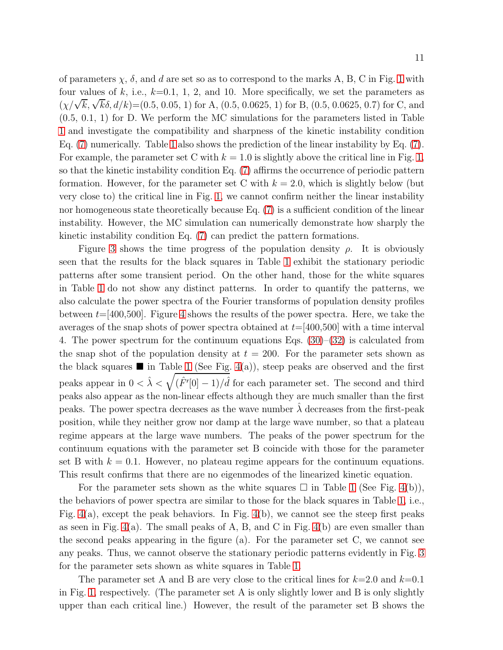of parameters  $\chi$ ,  $\delta$ , and d are set so as to correspond to the marks A, B, C in Fig. [1](#page-22-0) with four values of k, i.e.,  $k=0.1, 1, 2$ , and 10. More specifically, we set the parameters as  $(\chi/\sqrt{k}, \sqrt{k}\delta, d/k) = (0.5, 0.05, 1)$  for A,  $(0.5, 0.0625, 1)$  for B,  $(0.5, 0.0625, 0.7)$  for C, and (0.5, 0.1, 1) for D. We perform the MC simulations for the parameters listed in Table [1](#page-23-0) and investigate the compatibility and sharpness of the kinetic instability condition Eq. [\(7\)](#page-4-0) numerically. Table [1](#page-23-0) also shows the prediction of the linear instability by Eq. [\(7\)](#page-4-0). For example, the parameter set C with  $k = 1.0$  is slightly above the critical line in Fig. [1,](#page-22-0) so that the kinetic instability condition Eq. [\(7\)](#page-4-0) affirms the occurrence of periodic pattern formation. However, for the parameter set C with  $k = 2.0$ , which is slightly below (but very close to) the critical line in Fig. [1,](#page-22-0) we cannot confirm neither the linear instability nor homogeneous state theoretically because Eq. [\(7\)](#page-4-0) is a sufficient condition of the linear instability. However, the MC simulation can numerically demonstrate how sharply the kinetic instability condition Eq. [\(7\)](#page-4-0) can predict the pattern formations.

Figure [3](#page-23-1) shows the time progress of the population density  $\rho$ . It is obviously seen that the results for the black squares in Table [1](#page-23-0) exhibit the stationary periodic patterns after some transient period. On the other hand, those for the white squares in Table [1](#page-23-0) do not show any distinct patterns. In order to quantify the patterns, we also calculate the power spectra of the Fourier transforms of population density profiles between  $t=[400,500]$ . Figure [4](#page-24-1) shows the results of the power spectra. Here, we take the averages of the snap shots of power spectra obtained at  $t=[400,500]$  with a time interval 4. The power spectrum for the continuum equations Eqs. [\(30\)](#page-8-2)–[\(32\)](#page-8-3) is calculated from the snap shot of the population density at  $t = 200$ . For the parameter sets shown as the black squares  $\blacksquare$  in Table [1](#page-23-0) (See Fig. [4\(](#page-24-1)a)), steep peaks are observed and the first peaks appear in  $0 < \hat{\lambda} < \sqrt{(\hat{F}'[0] - 1)/\hat{d}}$  for each parameter set. The second and third peaks also appear as the non-linear effects although they are much smaller than the first peaks. The power spectra decreases as the wave number  $\lambda$  decreases from the first-peak position, while they neither grow nor damp at the large wave number, so that a plateau regime appears at the large wave numbers. The peaks of the power spectrum for the continuum equations with the parameter set B coincide with those for the parameter set B with  $k = 0.1$ . However, no plateau regime appears for the continuum equations. This result confirms that there are no eigenmodes of the linearized kinetic equation.

For the parameter sets shown as the white squares  $\Box$  in Table [1](#page-23-0) (See Fig. [4\(](#page-24-1)b)), the behaviors of power spectra are similar to those for the black squares in Table [1,](#page-23-0) i.e., Fig. [4\(](#page-24-1)a), except the peak behaviors. In Fig. [4\(](#page-24-1)b), we cannot see the steep first peaks as seen in Fig.  $4(a)$ . The small peaks of A, B, and C in Fig.  $4(b)$  are even smaller than the second peaks appearing in the figure (a). For the parameter set C, we cannot see any peaks. Thus, we cannot observe the stationary periodic patterns evidently in Fig. [3](#page-23-1) for the parameter sets shown as white squares in Table [1.](#page-23-0)

The parameter set A and B are very close to the critical lines for  $k=2.0$  and  $k=0.1$ in Fig. [1,](#page-22-0) respectively. (The parameter set A is only slightly lower and B is only slightly upper than each critical line.) However, the result of the parameter set B shows the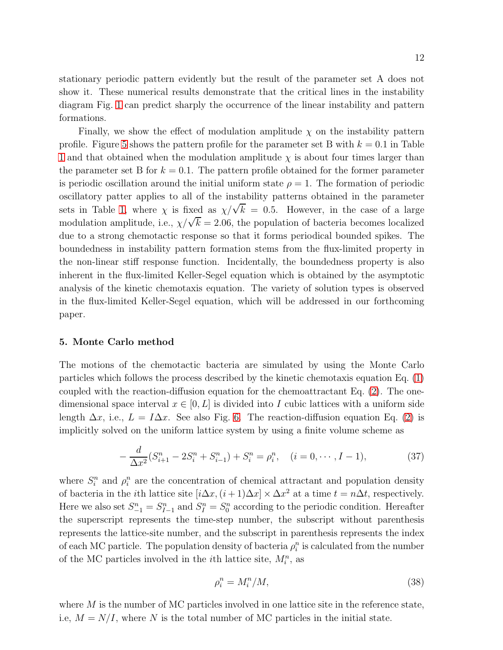12

stationary periodic pattern evidently but the result of the parameter set A does not show it. These numerical results demonstrate that the critical lines in the instability diagram Fig. [1](#page-22-0) can predict sharply the occurrence of the linear instability and pattern formations.

Finally, we show the effect of modulation amplitude  $\chi$  on the instability pattern profile. Figure [5](#page-24-2) shows the pattern profile for the parameter set B with  $k = 0.1$  in Table [1](#page-23-0) and that obtained when the modulation amplitude  $\chi$  is about four times larger than the parameter set B for  $k = 0.1$ . The pattern profile obtained for the former parameter is periodic oscillation around the initial uniform state  $\rho = 1$ . The formation of periodic oscillatory patter applies to all of the instability patterns obtained in the parameter sets in Table [1,](#page-23-0) where  $\chi$  is fixed as  $\chi/\sqrt{k} = 0.5$ . However, in the case of a large modulation amplitude, i.e.,  $\chi/\sqrt{k} = 2.06$ , the population of bacteria becomes localized due to a strong chemotactic response so that it forms periodical bounded spikes. The boundedness in instability pattern formation stems from the flux-limited property in the non-linear stiff response function. Incidentally, the boundedness property is also inherent in the flux-limited Keller-Segel equation which is obtained by the asymptotic analysis of the kinetic chemotaxis equation. The variety of solution types is observed in the flux-limited Keller-Segel equation, which will be addressed in our forthcoming paper.

# <span id="page-11-0"></span>5. Monte Carlo method

The motions of the chemotactic bacteria are simulated by using the Monte Carlo particles which follows the process described by the kinetic chemotaxis equation Eq. [\(1\)](#page-2-0) coupled with the reaction-diffusion equation for the chemoattractant Eq. [\(2\)](#page-2-1). The onedimensional space interval  $x \in [0, L]$  is divided into I cubic lattices with a uniform side length  $\Delta x$ , i.e.,  $L = I \Delta x$ . See also Fig. [6.](#page-24-0) The reaction-diffusion equation Eq. [\(2\)](#page-2-1) is implicitly solved on the uniform lattice system by using a finite volume scheme as

<span id="page-11-2"></span>
$$
-\frac{d}{\Delta x^2}(S_{i+1}^n - 2S_i^n + S_{i-1}^n) + S_i^n = \rho_i^n, \quad (i = 0, \cdots, I-1),
$$
\n(37)

where  $S_i^n$  and  $\rho_i^n$  are the concentration of chemical attractant and population density of bacteria in the *i*th lattice site  $[i\Delta x, (i+1)\Delta x] \times \Delta x^2$  at a time  $t = n\Delta t$ , respectively. Here we also set  $S_{-1}^n = S_{I-1}^n$  and  $S_I^n = S_0^n$  according to the periodic condition. Hereafter the superscript represents the time-step number, the subscript without parenthesis represents the lattice-site number, and the subscript in parenthesis represents the index of each MC particle. The population density of bacteria  $\rho_i^n$  is calculated from the number of the MC particles involved in the *i*<sup>th</sup> lattice site,  $M_i^n$ , as

<span id="page-11-1"></span>
$$
\rho_i^n = M_i^n / M,\tag{38}
$$

where  $M$  is the number of MC particles involved in one lattice site in the reference state, i.e,  $M = N/I$ , where N is the total number of MC particles in the initial state.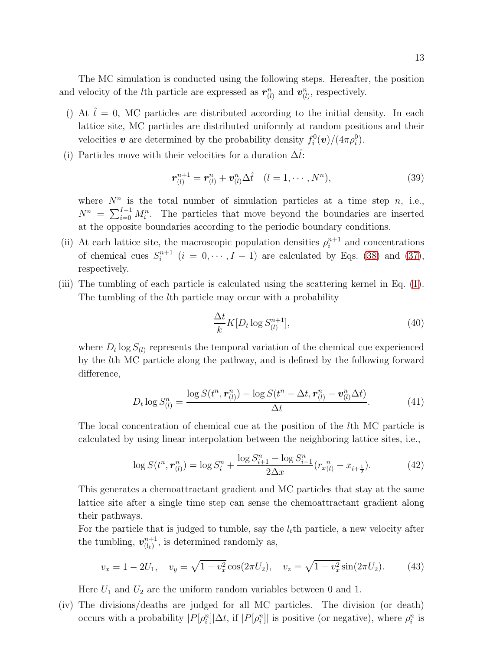The MC simulation is conducted using the following steps. Hereafter, the position and velocity of the *l*<sup>th</sup> particle are expressed as  $r_{(l)}^n$  and  $v_{(l)}^n$ , respectively.

- () At  $\hat{t} = 0$ , MC particles are distributed according to the initial density. In each lattice site, MC particles are distributed uniformly at random positions and their velocities **v** are determined by the probability density  $f_i^0(v)/(4\pi\rho_i^0)$ .
- (i) Particles move with their velocities for a duration  $\Delta \hat{t}$ :

$$
\boldsymbol{r}_{(l)}^{n+1} = \boldsymbol{r}_{(l)}^n + \boldsymbol{v}_{(l)}^n \Delta \hat{t} \quad (l = 1, \cdots, N^n), \tag{39}
$$

where  $N^n$  is the total number of simulation particles at a time step n, i.e.,  $N^n = \sum_{i=0}^{I-1} M_i^n$ . The particles that move beyond the boundaries are inserted at the opposite boundaries according to the periodic boundary conditions.

- (ii) At each lattice site, the macroscopic population densities  $\rho_i^{n+1}$  and concentrations of chemical cues  $S_i^{n+1}$   $(i = 0, \dots, I-1)$  are calculated by Eqs. [\(38\)](#page-11-1) and [\(37\)](#page-11-2), respectively.
- (iii) The tumbling of each particle is calculated using the scattering kernel in Eq. [\(1\)](#page-2-0). The tumbling of the lth particle may occur with a probability

$$
\frac{\Delta t}{k} K[D_t \log S_{(l)}^{n+1}], \tag{40}
$$

where  $D_t \log S_{(l)}$  represents the temporal variation of the chemical cue experienced by the lth MC particle along the pathway, and is defined by the following forward difference,

<span id="page-12-0"></span>
$$
D_t \log S_{(l)}^n = \frac{\log S(t^n, \mathbf{r}_{(l)}^n) - \log S(t^n - \Delta t, \mathbf{r}_{(l)}^n - \mathbf{v}_{(l)}^n \Delta t)}{\Delta t}.
$$
(41)

The local concentration of chemical cue at the position of the lth MC particle is calculated by using linear interpolation between the neighboring lattice sites, i.e.,

$$
\log S(t^n, \mathbf{r}_{(l)}^n) = \log S_i^n + \frac{\log S_{i+1}^n - \log S_{i-1}^n}{2\Delta x} (r_{x(l)}^n - x_{i+\frac{1}{2}}). \tag{42}
$$

This generates a chemoattractant gradient and MC particles that stay at the same lattice site after a single time step can sense the chemoattractant gradient along their pathways.

For the particle that is judged to tumble, say the  $l_t$ th particle, a new velocity after the tumbling,  $v_{(l_1)}^{n+1}$  $\binom{n+1}{(l_t)}$ , is determined randomly as,

<span id="page-12-1"></span>
$$
v_x = 1 - 2U_1, \quad v_y = \sqrt{1 - v_x^2} \cos(2\pi U_2), \quad v_z = \sqrt{1 - v_x^2} \sin(2\pi U_2). \tag{43}
$$

Here  $U_1$  and  $U_2$  are the uniform random variables between 0 and 1.

(iv) The divisions/deaths are judged for all MC particles. The division (or death) occurs with a probability  $|P[\rho_i^n]|\Delta t$ , if  $|P[\rho_i^n]|$  is positive (or negative), where  $\rho_i^n$  is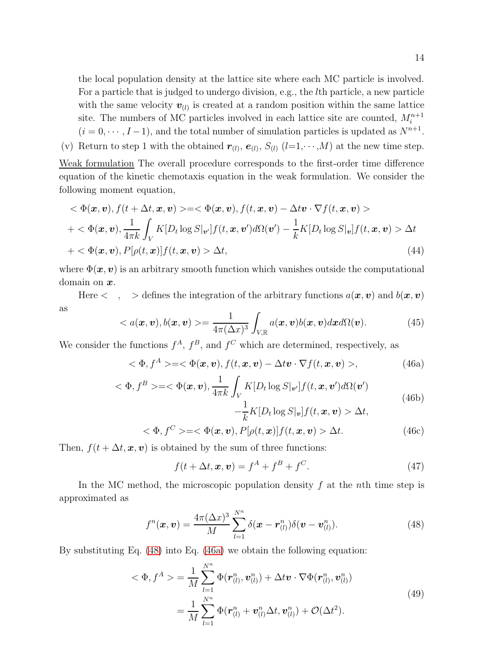the local population density at the lattice site where each MC particle is involved. For a particle that is judged to undergo division, e.g., the lth particle, a new particle with the same velocity  $\mathbf{v}_{(l)}$  is created at a random position within the same lattice site. The numbers of MC particles involved in each lattice site are counted,  $M_i^{n+1}$  $(i = 0, \dots, I-1)$ , and the total number of simulation particles is updated as  $N^{n+1}$ .

(v) Return to step 1 with the obtained  $r_{(l)}$ ,  $e_{(l)}$ ,  $S_{(l)}$  ( $l=1,\dots,M$ ) at the new time step.

Weak formulation The overall procedure corresponds to the first-order time difference equation of the kinetic chemotaxis equation in the weak formulation. We consider the following moment equation,

$$
\langle \Phi(\mathbf{x}, \mathbf{v}), f(t + \Delta t, \mathbf{x}, \mathbf{v}) \rangle = \langle \Phi(\mathbf{x}, \mathbf{v}), f(t, \mathbf{x}, \mathbf{v}) - \Delta t \mathbf{v} \cdot \nabla f(t, \mathbf{x}, \mathbf{v}) \rangle
$$
  
+
$$
\langle \Phi(\mathbf{x}, \mathbf{v}), \frac{1}{4\pi k} \int_{V} K[D_t \log S|_{\mathbf{v}'}] f(t, \mathbf{x}, \mathbf{v}') d\Omega(\mathbf{v}') - \frac{1}{k} K[D_t \log S|_{\mathbf{v}}] f(t, \mathbf{x}, \mathbf{v}) \rangle \Delta t
$$
  
+
$$
\langle \Phi(\mathbf{x}, \mathbf{v}), P[\rho(t, \mathbf{x})] f(t, \mathbf{x}, \mathbf{v}) \rangle \Delta t,
$$
(44)

where  $\Phi(\mathbf{x}, \mathbf{v})$  is an arbitrary smooth function which vanishes outside the computational domain on  $x$ .

Here  $\langle , \rangle$  > defines the integration of the arbitrary functions  $a(x, v)$  and  $b(x, v)$ as

<span id="page-13-4"></span>
$$
\langle a(\boldsymbol{x},\boldsymbol{v}),b(\boldsymbol{x},\boldsymbol{v})\rangle=\frac{1}{4\pi(\Delta x)^3}\int_{V,\mathbb{R}}a(\boldsymbol{x},\boldsymbol{v})b(\boldsymbol{x},\boldsymbol{v})d\boldsymbol{x}d\Omega(\boldsymbol{v}).\tag{45}
$$

We consider the functions  $f^A$ ,  $f^B$ , and  $f^C$  which are determined, respectively, as

<span id="page-13-1"></span>
$$
\langle \Phi, f^A \rangle = \langle \Phi(\mathbf{x}, \mathbf{v}), f(t, \mathbf{x}, \mathbf{v}) - \Delta t \mathbf{v} \cdot \nabla f(t, \mathbf{x}, \mathbf{v}) \rangle, \tag{46a}
$$

$$
\langle \Phi, f^B \rangle = \langle \Phi(x, v), \frac{1}{4\pi k} \int_V K[D_t \log S|_{v'}] f(t, x, v') d\Omega(v')
$$
\n
$$
- \frac{1}{k} K[D_t \log S|_{v}] f(t, x, v) > \Delta t,
$$
\n
$$
\langle \Phi, f^C \rangle = \langle \Phi(x, v), P[\phi(t, x)] f(t, x, v) > \Delta t \rangle
$$
\n(46a)

<span id="page-13-3"></span>
$$
\langle \Phi, f^C \rangle = \langle \Phi(\mathbf{x}, \mathbf{v}), P[\rho(t, \mathbf{x})]f(t, \mathbf{x}, \mathbf{v}) \rangle \Delta t. \tag{46c}
$$

<span id="page-13-2"></span>Then,  $f(t + \Delta t, \mathbf{x}, \mathbf{v})$  is obtained by the sum of three functions:

$$
f(t + \Delta t, \mathbf{x}, \mathbf{v}) = f^A + f^B + f^C.
$$
 (47)

In the MC method, the microscopic population density  $f$  at the nth time step is approximated as

<span id="page-13-0"></span>
$$
f^{n}(\boldsymbol{x},\boldsymbol{v})=\frac{4\pi(\Delta x)^{3}}{M}\sum_{l=1}^{N^{n}}\delta(\boldsymbol{x}-\boldsymbol{r}_{(l)}^{n})\delta(\boldsymbol{v}-\boldsymbol{v}_{(l)}^{n}).
$$
\n(48)

By substituting Eq. [\(48\)](#page-13-0) into Eq. [\(46a\)](#page-13-1) we obtain the following equation:

$$
\langle \Phi, f^A \rangle = \frac{1}{M} \sum_{l=1}^{N^n} \Phi(\boldsymbol{r}_{(l)}^n, \boldsymbol{v}_{(l)}^n) + \Delta t \boldsymbol{v} \cdot \nabla \Phi(\boldsymbol{r}_{(l)}^n, \boldsymbol{v}_{(l)}^n)
$$
  

$$
= \frac{1}{M} \sum_{l=1}^{N^n} \Phi(\boldsymbol{r}_{(l)}^n + \boldsymbol{v}_{(l)}^n \Delta t, \boldsymbol{v}_{(l)}^n) + \mathcal{O}(\Delta t^2).
$$
 (49)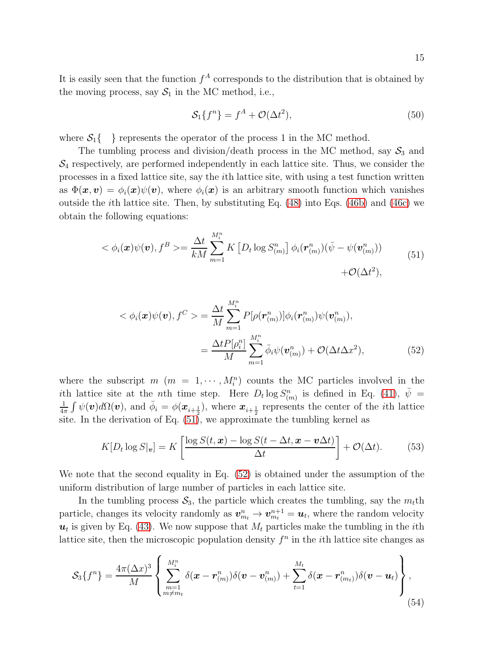It is easily seen that the function  $f^A$  corresponds to the distribution that is obtained by the moving process, say  $S_1$  in the MC method, i.e.,

<span id="page-14-0"></span>
$$
\mathcal{S}_1\{f^n\} = f^A + \mathcal{O}(\Delta t^2),\tag{50}
$$

where  $S_1\{\cdot\}$  represents the operator of the process 1 in the MC method.

The tumbling process and division/death process in the MC method, say  $S_3$  and  $\mathcal{S}_4$  respectively, are performed independently in each lattice site. Thus, we consider the processes in a fixed lattice site, say the ith lattice site, with using a test function written as  $\Phi(x, v) = \phi_i(x)\psi(v)$ , where  $\phi_i(x)$  is an arbitrary smooth function which vanishes outside the ith lattice site. Then, by substituting Eq. [\(48\)](#page-13-0) into Eqs. [\(46b\)](#page-13-2) and [\(46c\)](#page-13-3) we obtain the following equations:

$$
\langle \phi_i(\boldsymbol{x})\psi(\boldsymbol{v}), f^B \rangle = \frac{\Delta t}{kM} \sum_{m=1}^{M_i^n} K\left[D_t \log S_{(m)}^n\right] \phi_i(\boldsymbol{r}_{(m)}^n) (\bar{\psi} - \psi(\boldsymbol{v}_{(m)}^n)) + \mathcal{O}(\Delta t^2), \tag{51}
$$

<span id="page-14-1"></span>
$$
\langle \phi_i(\boldsymbol{x}) \psi(\boldsymbol{v}), f^C \rangle = \frac{\Delta t}{M} \sum_{m=1}^{M_i^n} P[\rho(\boldsymbol{r}_{(m)}^n)] \phi_i(\boldsymbol{r}_{(m)}^n) \psi(\boldsymbol{v}_{(m)}^n),
$$

$$
= \frac{\Delta t P[\rho_i^n]}{M} \sum_{m=1}^{M_i^n} \bar{\phi}_i \psi(\boldsymbol{v}_{(m)}^n) + \mathcal{O}(\Delta t \Delta x^2), \tag{52}
$$

where the subscript  $m(m = 1, \dots, M_i^n)$  counts the MC particles involved in the ith lattice site at the *n*th time step. Here  $D_t \log S^n_{(m)}$  is defined in Eq. [\(41\)](#page-12-0),  $\bar{\psi}$  = 1  $\frac{1}{4\pi} \int \psi(\boldsymbol{v}) d\Omega(\boldsymbol{v})$ , and  $\bar{\phi}_i = \phi(\boldsymbol{x}_{i+\frac{1}{2}})$ , where  $\boldsymbol{x}_{i+\frac{1}{2}}$  represents the center of the *i*th lattice site. In the derivation of Eq. [\(51\)](#page-14-0), we approximate the tumbling kernel as

$$
K[D_t \log S|_v] = K\left[\frac{\log S(t, \boldsymbol{x}) - \log S(t - \Delta t, \boldsymbol{x} - \boldsymbol{v}\Delta t)}{\Delta t}\right] + \mathcal{O}(\Delta t). \tag{53}
$$

We note that the second equality in Eq. [\(52\)](#page-14-1) is obtained under the assumption of the uniform distribution of large number of particles in each lattice site.

In the tumbling process  $S_3$ , the particle which creates the tumbling, say the  $m_t$ th particle, changes its velocity randomly as  $v_{m_t}^n \to v_{m_t}^{n+1} = u_t$ , where the random velocity  $u_t$  is given by Eq. [\(43\)](#page-12-1). We now suppose that  $M_t$  particles make the tumbling in the *i*th lattice site, then the microscopic population density  $f<sup>n</sup>$  in the *i*th lattice site changes as

$$
S_3\{f^n\} = \frac{4\pi (\Delta x)^3}{M} \left\{ \sum_{\substack{m=1 \ m \neq m_t}}^{M^n_i} \delta(x - r^n_{(m)}) \delta(v - v^n_{(m)}) + \sum_{t=1}^{M_t} \delta(x - r^n_{(m_t)}) \delta(v - u_t) \right\},\tag{54}
$$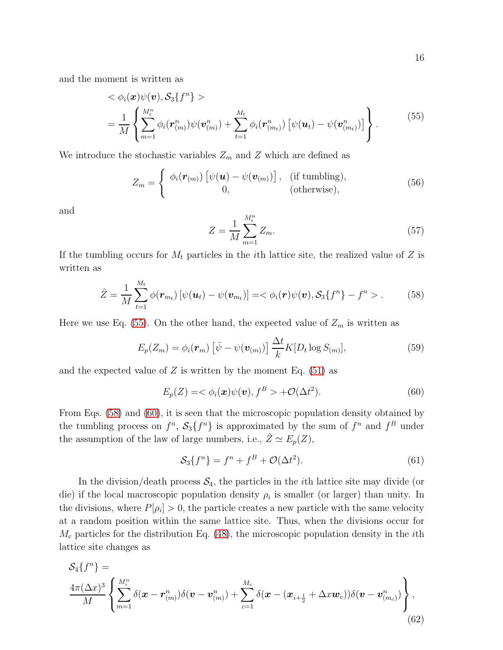<span id="page-15-0"></span>and the moment is written as

$$
\langle \phi_i(\boldsymbol{x}) \psi(\boldsymbol{v}), \mathcal{S}_3 \{ f^n \} \rangle
$$
  
= 
$$
\frac{1}{M} \left\{ \sum_{m=1}^{M_i^n} \phi_i(\boldsymbol{r}_{(m)}^n) \psi(\boldsymbol{v}_{(m)}^n) + \sum_{t=1}^{M_t} \phi_i(\boldsymbol{r}_{(m_t)}^n) \left[ \psi(\boldsymbol{u}_t) - \psi(\boldsymbol{v}_{(m_t)}^n) \right] \right\}.
$$
 (55)

We introduce the stochastic variables  $Z_m$  and Z which are defined as

$$
Z_m = \begin{cases} \phi_i(\mathbf{r}_{(m)}) \left[ \psi(\mathbf{u}) - \psi(\mathbf{v}_{(m)}) \right], & \text{(if tumbling)}, \\ 0, & \text{(otherwise)}, \end{cases}
$$
(56)

and

$$
Z = \frac{1}{M} \sum_{m=1}^{M_i^n} Z_m.
$$
\n(57)

If the tumbling occurs for  $M_t$  particles in the *i*th lattice site, the realized value of Z is written as

<span id="page-15-1"></span>
$$
\hat{Z} = \frac{1}{M} \sum_{t=1}^{M_t} \phi(\mathbf{r}_{m_t}) \left[ \psi(\mathbf{u}_t) - \psi(\mathbf{v}_{m_t}) \right] = \langle \phi_i(\mathbf{r}) \psi(\mathbf{v}), \mathcal{S}_3 \{ f^n \} - f^n \rangle. \tag{58}
$$

Here we use Eq. [\(55\)](#page-15-0). On the other hand, the expected value of  $Z_m$  is written as

$$
E_p(Z_m) = \phi_i(\boldsymbol{r}_m) \left[ \bar{\psi} - \psi(\boldsymbol{v}_{(m)}) \right] \frac{\Delta t}{k} K[D_t \log S_{(m)}], \tag{59}
$$

and the expected value of  $Z$  is written by the moment Eq. [\(51\)](#page-14-0) as

<span id="page-15-2"></span>
$$
E_p(Z) = \langle \phi_i(\boldsymbol{x}) \psi(\boldsymbol{v}), f^B \rangle + \mathcal{O}(\Delta t^2). \tag{60}
$$

From Eqs. [\(58\)](#page-15-1) and [\(60\)](#page-15-2), it is seen that the microscopic population density obtained by the tumbling process on  $f^n$ ,  $S_3\{f^n\}$  is approximated by the sum of  $f^n$  and  $f^B$  under the assumption of the law of large numbers, i.e.,  $\hat{Z} \simeq E_p(Z)$ ,

$$
S_3\{f^n\} = f^n + f^B + \mathcal{O}(\Delta t^2). \tag{61}
$$

In the division/death process  $S_4$ , the particles in the *i*th lattice site may divide (or die) if the local macroscopic population density  $\rho_i$  is smaller (or larger) than unity. In the divisions, where  $P[\rho_i] > 0$ , the particle creates a new particle with the same velocity at a random position within the same lattice site. Thus, when the divisions occur for  $M_c$  particles for the distribution Eq. [\(48\)](#page-13-0), the microscopic population density in the *i*th lattice site changes as

<span id="page-15-3"></span>
$$
S_4\{f^n\} = \frac{4\pi(\Delta x)^3}{M} \left\{ \sum_{m=1}^{M^n_i} \delta(\mathbf{x} - \mathbf{r}^n_{(m)}) \delta(\mathbf{v} - \mathbf{v}^n_{(m)}) + \sum_{c=1}^{M_c} \delta(\mathbf{x} - (\mathbf{x}_{i+\frac{1}{2}} + \Delta x \mathbf{w}_c)) \delta(\mathbf{v} - \mathbf{v}^n_{(m_c)}) \right\},
$$
\n(62)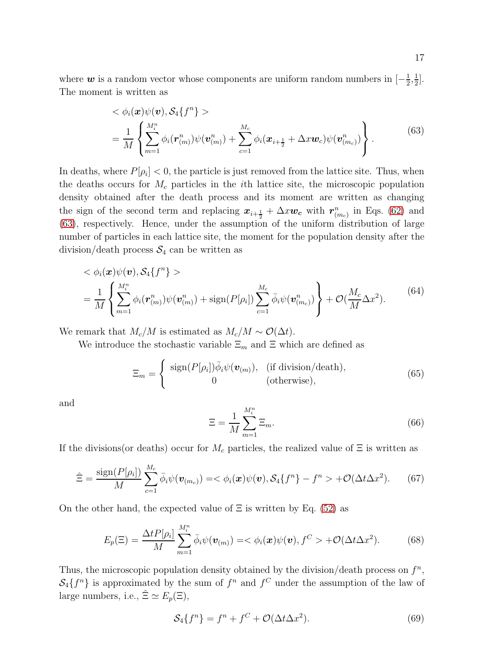where  $w$  is a random vector whose components are uniform random numbers in  $[-\frac{1}{2}]$  $\frac{1}{2}, \frac{1}{2}$  $\frac{1}{2}$ . The moment is written as

$$
\langle \phi_i(\boldsymbol{x}) \psi(\boldsymbol{v}), \mathcal{S}_4 \{ f^n \} \rangle
$$
  
= 
$$
\frac{1}{M} \left\{ \sum_{m=1}^{M_i^n} \phi_i(\boldsymbol{r}_{(m)}^n) \psi(\boldsymbol{v}_{(m)}^n) + \sum_{c=1}^{M_c} \phi_i(\boldsymbol{x}_{i+\frac{1}{2}} + \Delta x \boldsymbol{w}_c) \psi(\boldsymbol{v}_{(m_c)}^n) \right\}.
$$
 (63)

<span id="page-16-0"></span>In deaths, where  $P[\rho_i] < 0$ , the particle is just removed from the lattice site. Thus, when the deaths occurs for  $M_c$  particles in the *i*th lattice site, the microscopic population density obtained after the death process and its moment are written as changing the sign of the second term and replacing  $x_{i+\frac{1}{2}} + \Delta x w_c$  with  $r_{(m_c)}^n$  in Eqs. [\(62\)](#page-15-3) and [\(63\)](#page-16-0), respectively. Hence, under the assumption of the uniform distribution of large number of particles in each lattice site, the moment for the population density after the division/death process  $S_4$  can be written as

$$
\langle \phi_i(\boldsymbol{x})\psi(\boldsymbol{v}), \mathcal{S}_4\{f^n\} \rangle
$$
  
= 
$$
\frac{1}{M} \left\{ \sum_{m=1}^{M_i^n} \phi_i(\boldsymbol{r}_{(m)}^n) \psi(\boldsymbol{v}_{(m)}^n) + \text{sign}(P[\rho_i]) \sum_{c=1}^{M_c} \bar{\phi}_i \psi(\boldsymbol{v}_{(m_c)}^n) \right\} + \mathcal{O}(\frac{M_c}{M} \Delta x^2).
$$
 (64)

We remark that  $M_c/M$  is estimated as  $M_c/M \sim \mathcal{O}(\Delta t)$ .

We introduce the stochastic variable  $\Xi_m$  and  $\Xi$  which are defined as

$$
\Xi_m = \begin{cases}\n\text{sign}(P[\rho_i])\overline{\phi}_i\psi(\boldsymbol{v}_{(m)}), & \text{(if division/death)}, \\
0 & \text{(otherwise)},\n\end{cases}\n\tag{65}
$$

and

$$
\Xi = \frac{1}{M} \sum_{m=1}^{M_i^n} \Xi_m.
$$
\n(66)

If the divisions(or deaths) occur for  $M_c$  particles, the realized value of  $\Xi$  is written as

$$
\hat{\Xi} = \frac{\text{sign}(P[\rho_i])}{M} \sum_{c=1}^{M_c} \bar{\phi}_i \psi(\boldsymbol{v}_{(m_c)}) = \langle \phi_i(\boldsymbol{x}) \psi(\boldsymbol{v}), \mathcal{S}_4 \{ f^n \} - f^n \rangle + \mathcal{O}(\Delta t \Delta x^2). \tag{67}
$$

On the other hand, the expected value of  $\Xi$  is written by Eq. [\(52\)](#page-14-1) as

$$
E_p(\Xi) = \frac{\Delta t P[\rho_i]}{M} \sum_{m=1}^{M_i^n} \bar{\phi}_i \psi(\boldsymbol{v}_{(m)}) = \langle \phi_i(\boldsymbol{x}) \psi(\boldsymbol{v}), f^C \rangle + \mathcal{O}(\Delta t \Delta x^2). \tag{68}
$$

Thus, the microscopic population density obtained by the division/death process on  $f^n$ ,  $S_4\{f^n\}$  is approximated by the sum of  $f^n$  and  $f^C$  under the assumption of the law of large numbers, i.e.,  $\hat{\Xi} \simeq E_p(\Xi)$ ,

$$
S_4\{f^n\} = f^n + f^C + \mathcal{O}(\Delta t \Delta x^2). \tag{69}
$$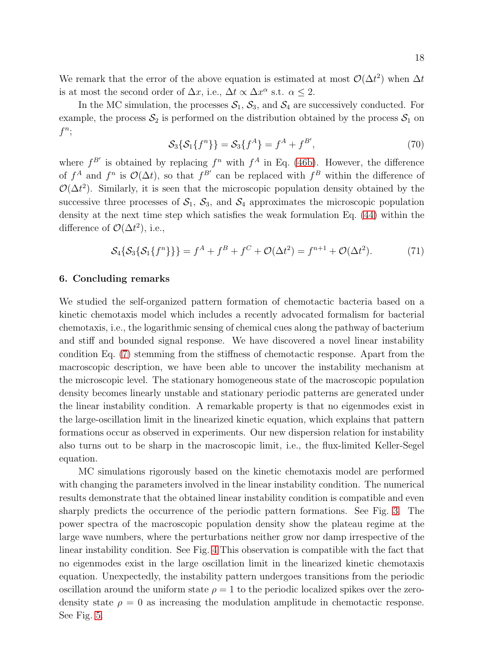We remark that the error of the above equation is estimated at most  $\mathcal{O}(\Delta t^2)$  when  $\Delta t$ is at most the second order of  $\Delta x$ , i.e.,  $\Delta t \propto \Delta x^{\alpha}$  s.t.  $\alpha \leq 2$ .

In the MC simulation, the processes  $S_1$ ,  $S_3$ , and  $S_4$  are successively conducted. For example, the process  $S_2$  is performed on the distribution obtained by the process  $S_1$  on  $f^n;$ 

$$
S_3\{S_1\{f^n\}\} = S_3\{f^A\} = f^A + f^{B'},\tag{70}
$$

where  $f^{B'}$  is obtained by replacing  $f^n$  with  $f^A$  in Eq. [\(46b\)](#page-13-2). However, the difference of  $f^A$  and  $f^n$  is  $\mathcal{O}(\Delta t)$ , so that  $f^{B'}$  can be replaced with  $f^B$  within the difference of  $\mathcal{O}(\Delta t^2)$ . Similarly, it is seen that the microscopic population density obtained by the successive three processes of  $S_1$ ,  $S_3$ , and  $S_4$  approximates the microscopic population density at the next time step which satisfies the weak formulation Eq. [\(44\)](#page-13-4) within the difference of  $\mathcal{O}(\Delta t^2)$ , i.e.,

$$
S_4\{S_3\{S_1\{f^n\}\}\} = f^A + f^B + f^C + \mathcal{O}(\Delta t^2) = f^{n+1} + \mathcal{O}(\Delta t^2). \tag{71}
$$

## 6. Concluding remarks

We studied the self-organized pattern formation of chemotactic bacteria based on a kinetic chemotaxis model which includes a recently advocated formalism for bacterial chemotaxis, i.e., the logarithmic sensing of chemical cues along the pathway of bacterium and stiff and bounded signal response. We have discovered a novel linear instability condition Eq. [\(7\)](#page-4-0) stemming from the stiffness of chemotactic response. Apart from the macroscopic description, we have been able to uncover the instability mechanism at the microscopic level. The stationary homogeneous state of the macroscopic population density becomes linearly unstable and stationary periodic patterns are generated under the linear instability condition. A remarkable property is that no eigenmodes exist in the large-oscillation limit in the linearized kinetic equation, which explains that pattern formations occur as observed in experiments. Our new dispersion relation for instability also turns out to be sharp in the macroscopic limit, i.e., the flux-limited Keller-Segel equation.

MC simulations rigorously based on the kinetic chemotaxis model are performed with changing the parameters involved in the linear instability condition. The numerical results demonstrate that the obtained linear instability condition is compatible and even sharply predicts the occurrence of the periodic pattern formations. See Fig. [3.](#page-23-1) The power spectra of the macroscopic population density show the plateau regime at the large wave numbers, where the perturbations neither grow nor damp irrespective of the linear instability condition. See Fig. [4](#page-24-1) This observation is compatible with the fact that no eigenmodes exist in the large oscillation limit in the linearized kinetic chemotaxis equation. Unexpectedly, the instability pattern undergoes transitions from the periodic oscillation around the uniform state  $\rho = 1$  to the periodic localized spikes over the zerodensity state  $\rho = 0$  as increasing the modulation amplitude in chemotactic response. See Fig. [5.](#page-24-2)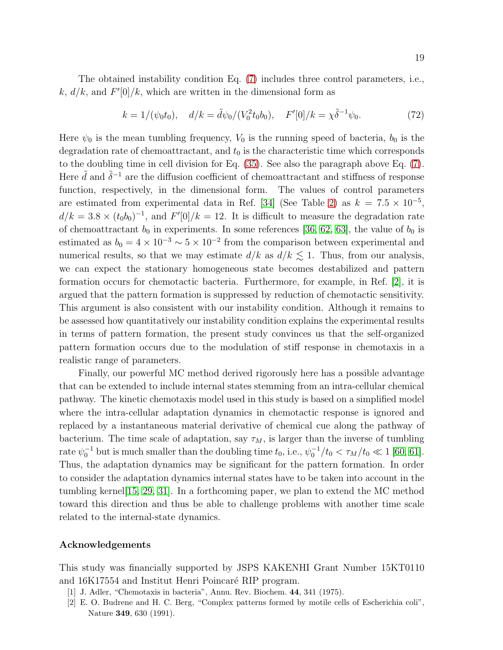The obtained instability condition Eq. [\(7\)](#page-4-0) includes three control parameters, i.e., k,  $d/k$ , and  $F'[0]/k$ , which are written in the dimensional form as

$$
k = 1/(\psi_0 t_0), \quad d/k = \tilde{d}\psi_0/(V_0^2 t_0 b_0), \quad F'[0]/k = \chi \tilde{\delta}^{-1} \psi_0.
$$
 (72)

Here  $\psi_0$  is the mean tumbling frequency,  $V_0$  is the running speed of bacteria,  $b_0$  is the degradation rate of chemoattractant, and  $t_0$  is the characteristic time which corresponds to the doubling time in cell division for Eq. [\(35\)](#page-9-3). See also the paragraph above Eq. [\(7\)](#page-4-0). Here  $\tilde{d}$  and  $\tilde{\delta}^{-1}$  are the diffusion coefficient of chemoattractant and stiffness of response function, respectively, in the dimensional form. The values of control parameters are estimated from experimental data in Ref. [\[34\]](#page-20-12) (See Table [2\)](#page-25-0) as  $k = 7.5 \times 10^{-5}$ ,  $d/k = 3.8 \times (t_0 b_0)^{-1}$ , and  $F'[0]/k = 12$ . It is difficult to measure the degradation rate of chemoattractant  $b_0$  in experiments. In some references [\[36,](#page-20-14) [62,](#page-21-5) [63\]](#page-21-6), the value of  $b_0$  is estimated as  $b_0 = 4 \times 10^{-3} \sim 5 \times 10^{-2}$  from the comparison between experimental and numerical results, so that we may estimate  $d/k$  as  $d/k \lesssim 1$ . Thus, from our analysis, we can expect the stationary homogeneous state becomes destabilized and pattern formation occurs for chemotactic bacteria. Furthermore, for example, in Ref. [\[2\]](#page-18-1), it is argued that the pattern formation is suppressed by reduction of chemotactic sensitivity. This argument is also consistent with our instability condition. Although it remains to be assessed how quantitatively our instability condition explains the experimental results in terms of pattern formation, the present study convinces us that the self-organized pattern formation occurs due to the modulation of stiff response in chemotaxis in a realistic range of parameters.

Finally, our powerful MC method derived rigorously here has a possible advantage that can be extended to include internal states stemming from an intra-cellular chemical pathway. The kinetic chemotaxis model used in this study is based on a simplified model where the intra-cellular adaptation dynamics in chemotactic response is ignored and replaced by a instantaneous material derivative of chemical cue along the pathway of bacterium. The time scale of adaptation, say  $\tau_M$ , is larger than the inverse of tumbling rate  $\psi_0^{-1}$  but is much smaller than the doubling time  $t_0$ , i.e.,  $\psi_0^{-1}/t_0 < \tau_M/t_0 \ll 1$  [\[60,](#page-21-7) [61\]](#page-21-8). Thus, the adaptation dynamics may be significant for the pattern formation. In order to consider the adaptation dynamics internal states have to be taken into account in the tumbling kernel[\[15,](#page-19-12) [29,](#page-20-1) [31\]](#page-20-3). In a forthcoming paper, we plan to extend the MC method toward this direction and thus be able to challenge problems with another time scale related to the internal-state dynamics.

#### Acknowledgements

This study was financially supported by JSPS KAKENHI Grant Number 15KT0110 and  $16K17554$  and Institut Henri Poincaré RIP program.

- <span id="page-18-1"></span><span id="page-18-0"></span>[1] J. Adler, "Chemotaxis in bacteria", Annu. Rev. Biochem. 44, 341 (1975).
- [2] E. O. Budrene and H. C. Berg, "Complex patterns formed by motile cells of Escherichia coli", Nature 349, 630 (1991).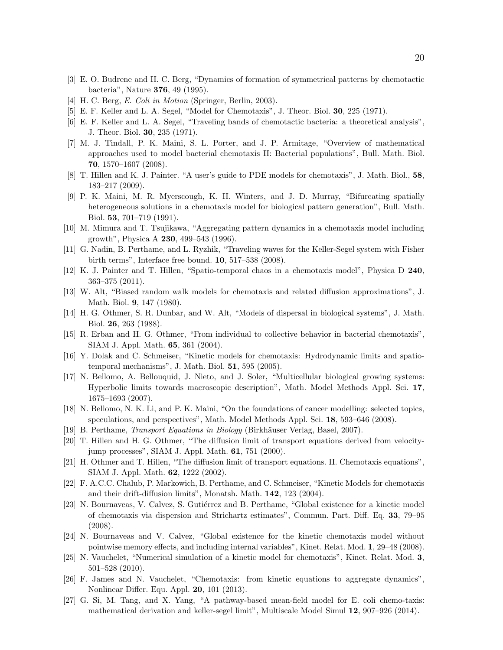- <span id="page-19-1"></span><span id="page-19-0"></span>[3] E. O. Budrene and H. C. Berg, "Dynamics of formation of symmetrical patterns by chemotactic bacteria", Nature 376, 49 (1995).
- <span id="page-19-2"></span>[4] H. C. Berg, E. Coli in Motion (Springer, Berlin, 2003).
- <span id="page-19-3"></span>[5] E. F. Keller and L. A. Segel, "Model for Chemotaxis", J. Theor. Biol. 30, 225 (1971).
- <span id="page-19-4"></span>[6] E. F. Keller and L. A. Segel, "Traveling bands of chemotactic bacteria: a theoretical analysis", J. Theor. Biol. 30, 235 (1971).
- [7] M. J. Tindall, P. K. Maini, S. L. Porter, and J. P. Armitage, "Overview of mathematical approaches used to model bacterial chemotaxis II: Bacterial populations", Bull. Math. Biol. 70, 1570–1607 (2008).
- <span id="page-19-5"></span>[8] T. Hillen and K. J. Painter. "A user's guide to PDE models for chemotaxis", J. Math. Biol., 58, 183–217 (2009).
- [9] P. K. Maini, M. R. Myerscough, K. H. Winters, and J. D. Murray, "Bifurcating spatially heterogeneous solutions in a chemotaxis model for biological pattern generation", Bull. Math. Biol. 53, 701–719 (1991).
- <span id="page-19-7"></span><span id="page-19-6"></span>[10] M. Mimura and T. Tsujikawa, "Aggregating pattern dynamics in a chemotaxis model including growth", Physica A 230, 499–543 (1996).
- <span id="page-19-8"></span>[11] G. Nadin, B. Perthame, and L. Ryzhik, "Traveling waves for the Keller-Segel system with Fisher birth terms", Interface free bound. 10, 517–538 (2008).
- [12] K. J. Painter and T. Hillen, "Spatio-temporal chaos in a chemotaxis model", Physica D 240, 363–375 (2011).
- <span id="page-19-9"></span>[13] W. Alt, "Biased random walk models for chemotaxis and related diffusion approximations", J. Math. Biol. 9, 147 (1980).
- <span id="page-19-10"></span>[14] H. G. Othmer, S. R. Dunbar, and W. Alt, "Models of dispersal in biological systems", J. Math. Biol. 26, 263 (1988).
- <span id="page-19-12"></span><span id="page-19-11"></span>[15] R. Erban and H. G. Othmer, "From individual to collective behavior in bacterial chemotaxis", SIAM J. Appl. Math. 65, 361 (2004).
- <span id="page-19-13"></span>[16] Y. Dolak and C. Schmeiser, "Kinetic models for chemotaxis: Hydrodynamic limits and spatiotemporal mechanisms", J. Math. Biol. 51, 595 (2005).
- [17] N. Bellomo, A. Bellouquid, J. Nieto, and J. Soler, "Multicellular biological growing systems: Hyperbolic limits towards macroscopic description", Math. Model Methods Appl. Sci. 17, 1675–1693 (2007).
- <span id="page-19-14"></span>[18] N. Bellomo, N. K. Li, and P. K. Maini, "On the foundations of cancer modelling: selected topics, speculations, and perspectives", Math. Model Methods Appl. Sci. 18, 593–646 (2008).
- <span id="page-19-15"></span>[19] B. Perthame, *Transport Equations in Biology* (Birkhäuser Verlag, Basel, 2007).
- [20] T. Hillen and H. G. Othmer, "The diffusion limit of transport equations derived from velocityjump processes", SIAM J. Appl. Math. 61, 751 (2000).
- <span id="page-19-16"></span>[21] H. Othmer and T. Hillen, "The diffusion limit of transport equations. II. Chemotaxis equations", SIAM J. Appl. Math. 62, 1222 (2002).
- <span id="page-19-17"></span>[22] F. A.C.C. Chalub, P. Markowich, B. Perthame, and C. Schmeiser, "Kinetic Models for chemotaxis and their drift-diffusion limits", Monatsh. Math. 142, 123 (2004).
- <span id="page-19-18"></span>[23] N. Bournaveas, V. Calvez, S. Gutiérrez and B. Perthame, "Global existence for a kinetic model of chemotaxis via dispersion and Strichartz estimates", Commun. Part. Diff. Eq. 33, 79–95 (2008).
- <span id="page-19-19"></span>[24] N. Bournaveas and V. Calvez, "Global existence for the kinetic chemotaxis model without pointwise memory effects, and including internal variables", Kinet. Relat. Mod. 1, 29–48 (2008).
- <span id="page-19-20"></span>[25] N. Vauchelet, "Numerical simulation of a kinetic model for chemotaxis", Kinet. Relat. Mod. 3, 501–528 (2010).
- <span id="page-19-21"></span>[26] F. James and N. Vauchelet, "Chemotaxis: from kinetic equations to aggregate dynamics", Nonlinear Differ. Equ. Appl. 20, 101 (2013).
- <span id="page-19-22"></span>[27] G. Si, M. Tang, and X. Yang, "A pathway-based mean-field model for E. coli chemo-taxis: mathematical derivation and keller-segel limit", Multiscale Model Simul 12, 907–926 (2014).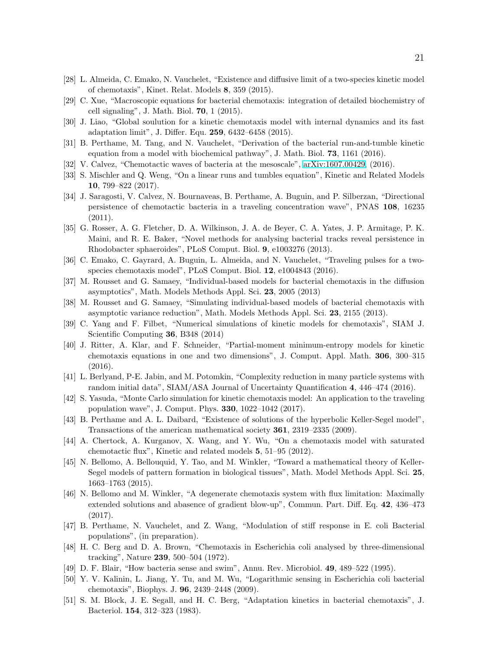- <span id="page-20-1"></span><span id="page-20-0"></span>[28] L. Almeida, C. Emako, N. Vauchelet, "Existence and diffusive limit of a two-species kinetic model of chemotaxis", Kinet. Relat. Models 8, 359 (2015).
- <span id="page-20-2"></span>[29] C. Xue, "Macroscopic equations for bacterial chemotaxis: integration of detailed biochemistry of cell signaling", J. Math. Biol. 70, 1 (2015).
- <span id="page-20-3"></span>[30] J. Liao, "Global soulution for a kinetic chemotaxis model with internal dynamics and its fast adaptation limit", J. Differ. Equ. 259, 6432–6458 (2015).
- <span id="page-20-4"></span>[31] B. Perthame, M. Tang, and N. Vauchelet, "Derivation of the bacterial run-and-tumble kinetic equation from a model with biochemical pathway", J. Math. Biol. 73, 1161 (2016).
- <span id="page-20-5"></span>[32] V. Calvez, "Chemotactic waves of bacteria at the mesoscale", [arXiv:1607.00429,](http://arxiv.org/abs/1607.00429) (2016).
- <span id="page-20-12"></span>[33] S. Mischler and Q. Weng, "On a linear runs and tumbles equation", Kinetic and Related Models 10, 799–822 (2017).
- [34] J. Saragosti, V. Calvez, N. Bournaveas, B. Perthame, A. Buguin, and P. Silberzan, "Directional persistence of chemotactic bacteria in a traveling concentration wave", PNAS 108, 16235 (2011).
- <span id="page-20-13"></span>[35] G. Rosser, A. G. Fletcher, D. A. Wilkinson, J. A. de Beyer, C. A. Yates, J. P. Armitage, P. K. Maini, and R. E. Baker, "Novel methods for analysing bacterial tracks reveal persistence in Rhodobacter sphaeroides", PLoS Comput. Biol. 9, e1003276 (2013).
- <span id="page-20-14"></span><span id="page-20-6"></span>[36] C. Emako, C. Gayrard, A. Buguin, L. Almeida, and N. Vauchelet, "Traveling pulses for a twospecies chemotaxis model", PLoS Comput. Biol. 12, e1004843 (2016).
- [37] M. Rousset and G. Samaey, "Individual-based models for bacterial chemotaxis in the diffusion asymptotics", Math. Models Methods Appl. Sci. 23, 2005 (2013)
- <span id="page-20-7"></span>[38] M. Rousset and G. Samaey, "Simulating individual-based models of bacterial chemotaxis with asymptotic variance reduction", Math. Models Methods Appl. Sci. 23, 2155 (2013).
- <span id="page-20-8"></span>[39] C. Yang and F. Filbet, "Numerical simulations of kinetic models for chemotaxis", SIAM J. Scientific Computing 36, B348 (2014)
- <span id="page-20-9"></span>[40] J. Ritter, A. Klar, and F. Schneider, "Partial-moment minimum-entropy models for kinetic chemotaxis equations in one and two dimensions", J. Comput. Appl. Math. 306, 300–315 (2016).
- <span id="page-20-11"></span><span id="page-20-10"></span>[41] L. Berlyand, P-E. Jabin, and M. Potomkin, "Complexity reduction in many particle systems with random initial data", SIAM/ASA Journal of Uncertainty Quantification 4, 446–474 (2016).
- <span id="page-20-15"></span>[42] S. Yasuda, "Monte Carlo simulation for kinetic chemotaxis model: An application to the traveling population wave", J. Comput. Phys. 330, 1022–1042 (2017).
- [43] B. Perthame and A. L. Daibard, "Existence of solutions of the hyperbolic Keller-Segel model", Transactions of the american mathematical society 361, 2319–2335 (2009).
- <span id="page-20-16"></span>[44] A. Chertock, A. Kurganov, X. Wang, and Y. Wu, "On a chemotaxis model with saturated chemotactic flux", Kinetic and related models 5, 51–95 (2012).
- <span id="page-20-17"></span>[45] N. Bellomo, A. Bellouquid, Y. Tao, and M. Winkler, "Toward a mathematical theory of Keller-Segel models of pattern formation in biological tissues", Math. Model Methods Appl. Sci. 25, 1663–1763 (2015).
- <span id="page-20-18"></span>[46] N. Bellomo and M. Winkler, "A degenerate chemotaxis system with flux limitation: Maximally extended solutions and abasence of gradient blow-up", Commun. Part. Diff. Eq. 42, 436–473 (2017).
- <span id="page-20-19"></span>[47] B. Perthame, N. Vauchelet, and Z. Wang, "Modulation of stiff response in E. coli Bacterial populations", (in preparation).
- <span id="page-20-20"></span>[48] H. C. Berg and D. A. Brown, "Chemotaxis in Escherichia coli analysed by three-dimensional tracking", Nature 239, 500–504 (1972).
- <span id="page-20-22"></span><span id="page-20-21"></span>[49] D. F. Blair, "How bacteria sense and swim", Annu. Rev. Microbiol. 49, 489–522 (1995).
- [50] Y. V. Kalinin, L. Jiang, Y. Tu, and M. Wu, "Logarithmic sensing in Escherichia coli bacterial chemotaxis", Biophys. J. 96, 2439–2448 (2009).
- <span id="page-20-23"></span>[51] S. M. Block, J. E. Segall, and H. C. Berg, "Adaptation kinetics in bacterial chemotaxis", J. Bacteriol. 154, 312–323 (1983).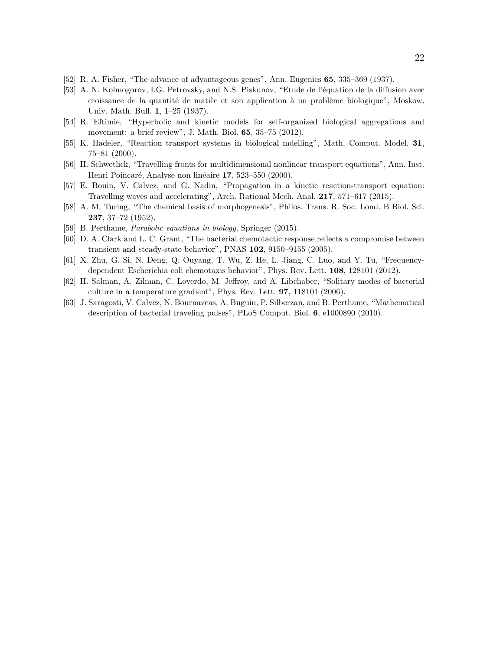- [52] R. A. Fisher, "The advance of advantageous genes", Ann. Eugenics 65, 335–369 (1937).
- [53] A. N. Kolmogorov, I.G. Petrovsky, and N.S. Piskunov, "Etude de l'équation de la diffusion avec croissance de la quantité de matire et son application à un problème biologique", Moskow. Univ. Math. Bull. 1, 1–25 (1937).
- <span id="page-21-0"></span>[54] R. Eftimie, "Hyperbolic and kinetic models for self-organized biological aggregations and movement: a brief review", J. Math. Biol. 65, 35–75 (2012).
- <span id="page-21-1"></span>[55] K. Hadeler, "Reaction transport systems in biological mdelling", Math. Comput. Model. 31, 75–81 (2000).
- <span id="page-21-2"></span>[56] H. Schwetlick, "Travelling fronts for multidimensional nonlinear transport equations", Ann. Inst. Henri Poincaré, Analyse non linéaire 17, 523–550 (2000).
- <span id="page-21-3"></span>[57] E. Bouin, V. Calvez, and G. Nadin, "Propagation in a kinetic reaction-transport equation: Travelling waves and accelerating", Arch. Rational Mech. Anal. 217, 571–617 (2015).
- <span id="page-21-4"></span>[58] A. M. Turing, "The chemical basis of morphogenesis", Philos. Trans. R. Soc. Lond. B Biol. Sci. 237, 37–72 (1952).
- <span id="page-21-7"></span>[59] B. Perthame, Parabolic equations in biology, Springer (2015).
- <span id="page-21-8"></span>[60] D. A. Clark and L. C. Grant, "The bacterial chemotactic response reflects a compromise between transient and steady-state behavior", PNAS 102, 9150–9155 (2005).
- [61] X. Zhu, G. Si, N. Deng, Q. Ouyang, T. Wu, Z. He, L. Jiang, C. Luo, and Y. Tu, "Frequencydependent Escherichia coli chemotaxis behavior", Phys. Rev. Lett. 108, 128101 (2012).
- <span id="page-21-5"></span>[62] H. Salman, A. Zilman, C. Loverdo, M. Jeffroy, and A. Libchaber, "Solitary modes of bacterial culture in a temperature gradient", Phys. Rev. Lett. 97, 118101 (2006).
- <span id="page-21-6"></span>[63] J. Saragosti, V. Calvez, N. Bournaveas, A. Buguin, P. Silberzan, and B. Perthame, "Mathematical description of bacterial traveling pulses", PLoS Comput. Biol. 6, e1000890 (2010).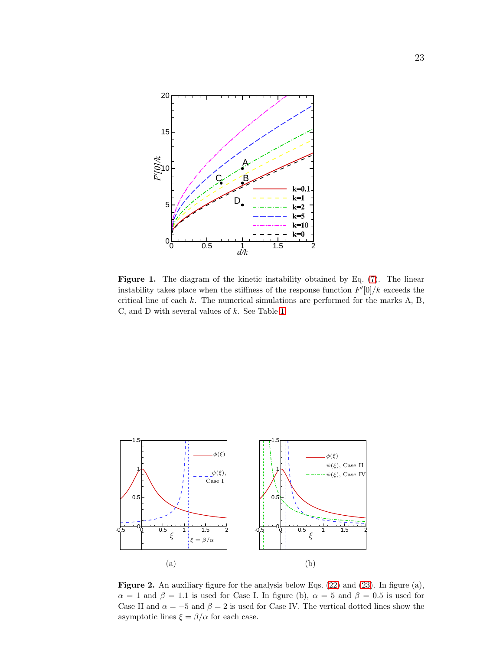

<span id="page-22-0"></span>Figure 1. The diagram of the kinetic instability obtained by Eq.  $(7)$ . The linear instability takes place when the stiffness of the response function  $F'[0]/k$  exceeds the critical line of each  $k$ . The numerical simulations are performed for the marks  $A$ ,  $B$ , C, and D with several values of  $k$ . See Table [1.](#page-23-0)



<span id="page-22-1"></span>Figure 2. An auxiliary figure for the analysis below Eqs. [\(22\)](#page-7-2) and [\(23\)](#page-7-0). In figure (a),  $\alpha = 1$  and  $\beta = 1.1$  is used for Case I. In figure (b),  $\alpha = 5$  and  $\beta = 0.5$  is used for Case II and  $\alpha = -5$  and  $\beta = 2$  is used for Case IV. The vertical dotted lines show the asymptotic lines  $\xi = \beta/\alpha$  for each case.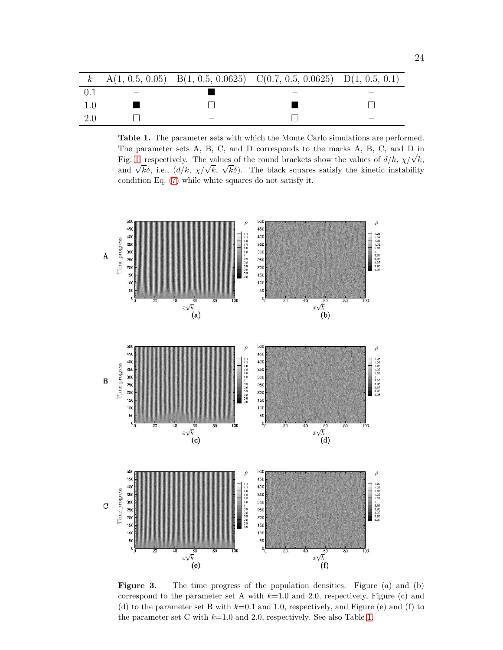|     |  | k A(1, 0.5, 0.05) B(1, 0.5, 0.0625) C(0.7, 0.5, 0.0625) D(1, 0.5, 0.1) |  |
|-----|--|------------------------------------------------------------------------|--|
|     |  |                                                                        |  |
|     |  |                                                                        |  |
| 2.0 |  |                                                                        |  |

<span id="page-23-0"></span>Table 1. The parameter sets with which the Monte Carlo simulations are performed. The parameter sets A, B, C, and D corresponds to the marks A, B, C, and D in Fig. [1,](#page-22-0) respectively. The values of the round brackets show the values of  $d/k$ ,  $\chi/\sqrt{k}$ , and  $\sqrt{k\delta}$ , i.e.,  $(d/k, \chi/\sqrt{k}, \sqrt{k\delta})$ . The black squares satisfy the kinetic instability condition Eq. [\(7\)](#page-4-0) while white squares do not satisfy it.



<span id="page-23-1"></span>Figure 3. The time progress of the population densities. Figure (a) and (b) correspond to the parameter set A with  $k=1.0$  and 2.0, respectively, Figure (c) and (d) to the parameter set B with  $k=0.1$  and 1.0, respectively, and Figure (e) and (f) to the parameter set C with  $k=1.0$  and 2.0, respectively. See also Table [1.](#page-23-0)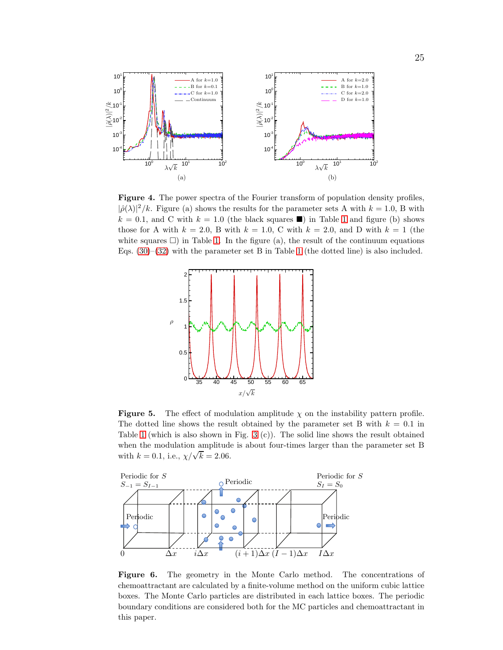

<span id="page-24-1"></span>Figure 4. The power spectra of the Fourier transform of population density profiles,  $|\hat{\rho}(\lambda)|^2/k$ . Figure (a) shows the results for the parameter sets A with  $k = 1.0$ , B with  $k = 0.1$ , and C with  $k = 1.0$  $k = 1.0$  $k = 1.0$  (the black squares  $\blacksquare$ ) in Table 1 and figure (b) shows those for A with  $k = 2.0$ , B with  $k = 1.0$ , C with  $k = 2.0$ , and D with  $k = 1$  (the white squares  $\Box$ ) in Table [1.](#page-23-0) In the figure (a), the result of the continuum equations Eqs.  $(30)$ – $(32)$  with the parameter set B in Table [1](#page-23-0) (the dotted line) is also included.



<span id="page-24-2"></span>**Figure 5.** The effect of modulation amplitude  $\chi$  on the instability pattern profile. The dotted line shows the result obtained by the parameter set B with  $k = 0.1$  in Table [1](#page-23-0) (which is also shown in Fig. [3](#page-23-1) (c)). The solid line shows the result obtained when the modulation amplitude is about four-times larger than the parameter set B with  $k = 0.1$ , i.e.,  $\chi/\sqrt{k} = 2.06$ .



<span id="page-24-0"></span>Figure 6. The geometry in the Monte Carlo method. The concentrations of chemoattractant are calculated by a finite-volume method on the uniform cubic lattice boxes. The Monte Carlo particles are distributed in each lattice boxes. The periodic boundary conditions are considered both for the MC particles and chemoattractant in this paper.